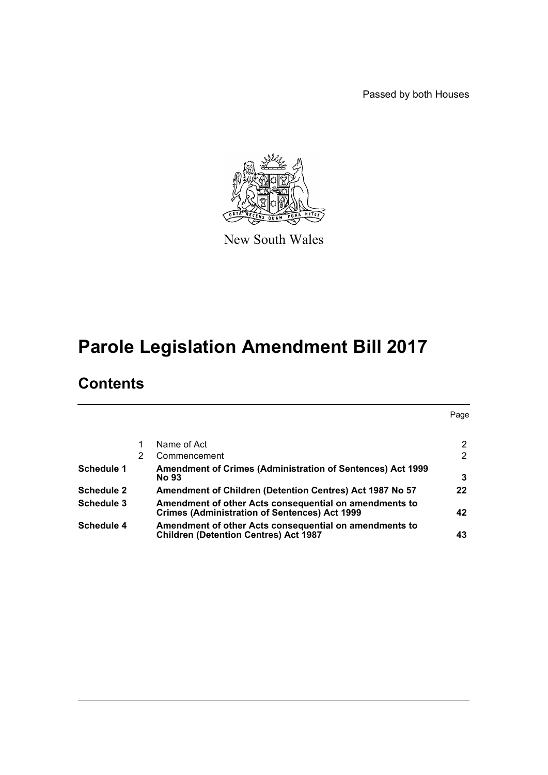Passed by both Houses



New South Wales

# **Parole Legislation Amendment Bill 2017**

# **Contents**

|                   |   |                                                                                                                | Page                 |
|-------------------|---|----------------------------------------------------------------------------------------------------------------|----------------------|
|                   |   |                                                                                                                |                      |
|                   |   | Name of Act                                                                                                    | $\mathbf{2}^{\circ}$ |
|                   | 2 | Commencement                                                                                                   | $\mathbf{2}^{\circ}$ |
| Schedule 1        |   | <b>Amendment of Crimes (Administration of Sentences) Act 1999</b><br><b>No 93</b>                              | 3                    |
| <b>Schedule 2</b> |   | Amendment of Children (Detention Centres) Act 1987 No 57                                                       | 22                   |
| Schedule 3        |   | Amendment of other Acts consequential on amendments to<br><b>Crimes (Administration of Sentences) Act 1999</b> | 42                   |
| <b>Schedule 4</b> |   | Amendment of other Acts consequential on amendments to<br><b>Children (Detention Centres) Act 1987</b>         | 43                   |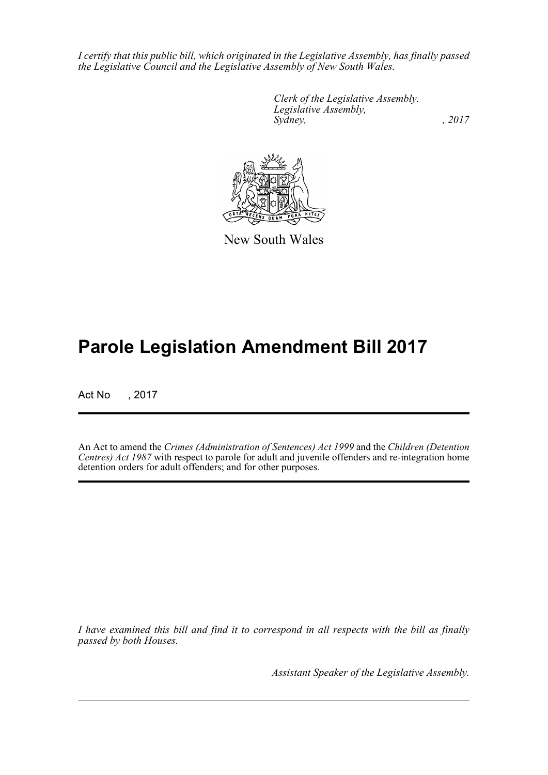*I certify that this public bill, which originated in the Legislative Assembly, has finally passed the Legislative Council and the Legislative Assembly of New South Wales.*

> *Clerk of the Legislative Assembly. Legislative Assembly, Sydney,* , 2017



New South Wales

# **Parole Legislation Amendment Bill 2017**

Act No , 2017

An Act to amend the *Crimes (Administration of Sentences) Act 1999* and the *Children (Detention Centres) Act 1987* with respect to parole for adult and juvenile offenders and re-integration home detention orders for adult offenders; and for other purposes.

*I have examined this bill and find it to correspond in all respects with the bill as finally passed by both Houses.*

*Assistant Speaker of the Legislative Assembly.*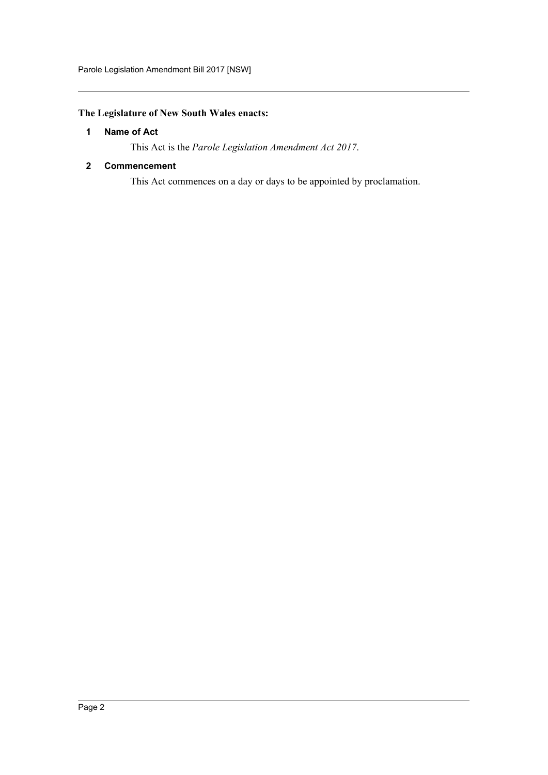# <span id="page-2-0"></span>**The Legislature of New South Wales enacts:**

## **1 Name of Act**

This Act is the *Parole Legislation Amendment Act 2017*.

#### <span id="page-2-1"></span>**2 Commencement**

This Act commences on a day or days to be appointed by proclamation.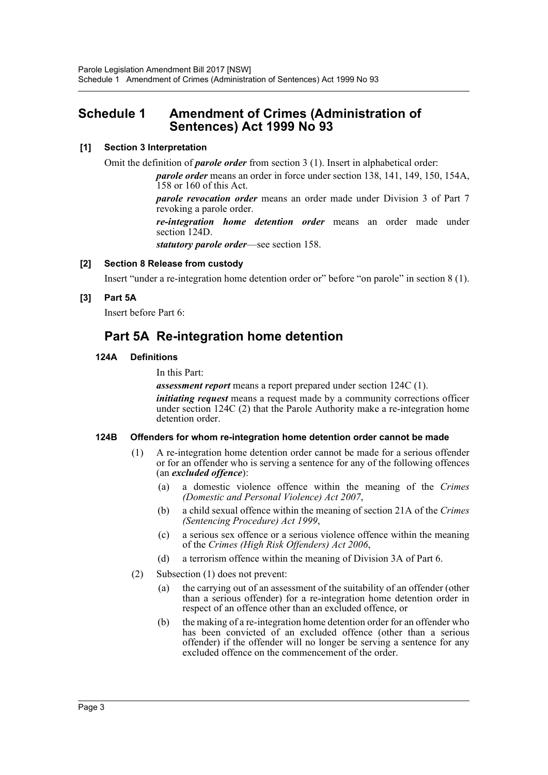# <span id="page-3-0"></span>**Schedule 1 Amendment of Crimes (Administration of Sentences) Act 1999 No 93**

#### **[1] Section 3 Interpretation**

Omit the definition of *parole order* from section 3 (1). Insert in alphabetical order:

*parole order* means an order in force under section 138, 141, 149, 150, 154A, 158 or 160 of this Act.

*parole revocation order* means an order made under Division 3 of Part 7 revoking a parole order.

*re-integration home detention order* means an order made under section 124D.

*statutory parole order*—see section 158.

#### **[2] Section 8 Release from custody**

Insert "under a re-integration home detention order or" before "on parole" in section 8 (1).

#### **[3] Part 5A**

Insert before Part 6:

# **Part 5A Re-integration home detention**

#### **124A Definitions**

In this Part:

*assessment report* means a report prepared under section 124C (1).

*initiating request* means a request made by a community corrections officer under section 124C (2) that the Parole Authority make a re-integration home detention order.

#### **124B Offenders for whom re-integration home detention order cannot be made**

- (1) A re-integration home detention order cannot be made for a serious offender or for an offender who is serving a sentence for any of the following offences (an *excluded offence*):
	- (a) a domestic violence offence within the meaning of the *Crimes (Domestic and Personal Violence) Act 2007*,
	- (b) a child sexual offence within the meaning of section 21A of the *Crimes (Sentencing Procedure) Act 1999*,
	- (c) a serious sex offence or a serious violence offence within the meaning of the *Crimes (High Risk Offenders) Act 2006*,
	- (d) a terrorism offence within the meaning of Division 3A of Part 6.
- (2) Subsection (1) does not prevent:
	- (a) the carrying out of an assessment of the suitability of an offender (other than a serious offender) for a re-integration home detention order in respect of an offence other than an excluded offence, or
	- (b) the making of a re-integration home detention order for an offender who has been convicted of an excluded offence (other than a serious offender) if the offender will no longer be serving a sentence for any excluded offence on the commencement of the order.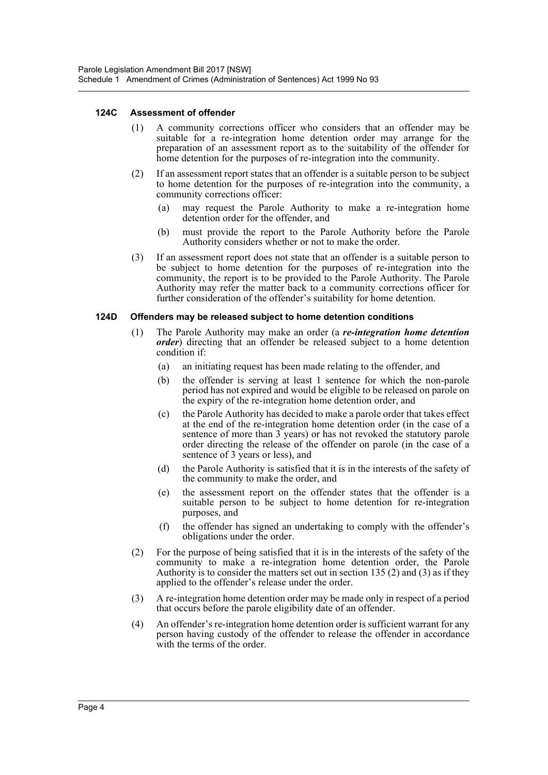#### **124C Assessment of offender**

- (1) A community corrections officer who considers that an offender may be suitable for a re-integration home detention order may arrange for the preparation of an assessment report as to the suitability of the offender for home detention for the purposes of re-integration into the community.
- (2) If an assessment report states that an offender is a suitable person to be subject to home detention for the purposes of re-integration into the community, a community corrections officer:
	- (a) may request the Parole Authority to make a re-integration home detention order for the offender, and
	- (b) must provide the report to the Parole Authority before the Parole Authority considers whether or not to make the order.
- (3) If an assessment report does not state that an offender is a suitable person to be subject to home detention for the purposes of re-integration into the community, the report is to be provided to the Parole Authority. The Parole Authority may refer the matter back to a community corrections officer for further consideration of the offender's suitability for home detention.

#### **124D Offenders may be released subject to home detention conditions**

- (1) The Parole Authority may make an order (a *re-integration home detention order*) directing that an offender be released subject to a home detention condition if:
	- (a) an initiating request has been made relating to the offender, and
	- (b) the offender is serving at least 1 sentence for which the non-parole period has not expired and would be eligible to be released on parole on the expiry of the re-integration home detention order, and
	- (c) the Parole Authority has decided to make a parole order that takes effect at the end of the re-integration home detention order (in the case of a sentence of more than 3 years) or has not revoked the statutory parole order directing the release of the offender on parole (in the case of a sentence of 3 years or less), and
	- (d) the Parole Authority is satisfied that it is in the interests of the safety of the community to make the order, and
	- (e) the assessment report on the offender states that the offender is a suitable person to be subject to home detention for re-integration purposes, and
	- (f) the offender has signed an undertaking to comply with the offender's obligations under the order.
- (2) For the purpose of being satisfied that it is in the interests of the safety of the community to make a re-integration home detention order, the Parole Authority is to consider the matters set out in section 135 (2) and (3) as if they applied to the offender's release under the order.
- (3) A re-integration home detention order may be made only in respect of a period that occurs before the parole eligibility date of an offender.
- (4) An offender's re-integration home detention order is sufficient warrant for any person having custody of the offender to release the offender in accordance with the terms of the order.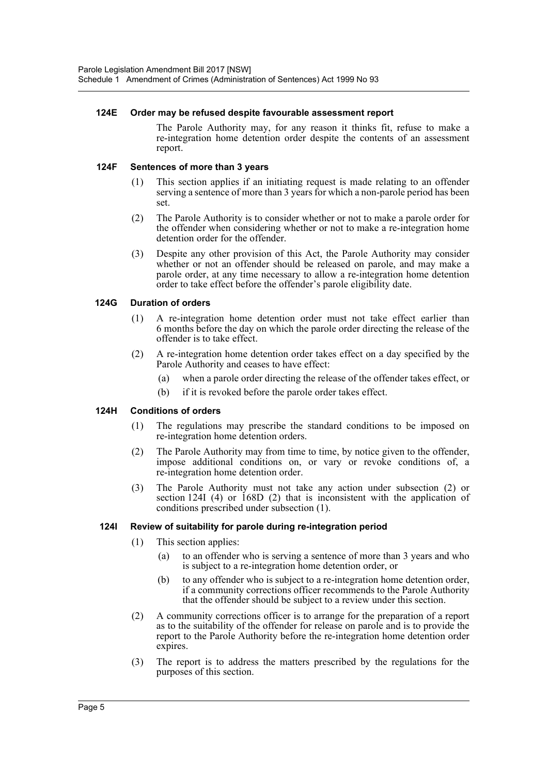#### **124E Order may be refused despite favourable assessment report**

The Parole Authority may, for any reason it thinks fit, refuse to make a re-integration home detention order despite the contents of an assessment report.

#### **124F Sentences of more than 3 years**

- (1) This section applies if an initiating request is made relating to an offender serving a sentence of more than 3 years for which a non-parole period has been set.
- (2) The Parole Authority is to consider whether or not to make a parole order for the offender when considering whether or not to make a re-integration home detention order for the offender.
- (3) Despite any other provision of this Act, the Parole Authority may consider whether or not an offender should be released on parole, and may make a parole order, at any time necessary to allow a re-integration home detention order to take effect before the offender's parole eligibility date.

#### **124G Duration of orders**

- (1) A re-integration home detention order must not take effect earlier than 6 months before the day on which the parole order directing the release of the offender is to take effect.
- (2) A re-integration home detention order takes effect on a day specified by the Parole Authority and ceases to have effect:
	- (a) when a parole order directing the release of the offender takes effect, or
	- (b) if it is revoked before the parole order takes effect.

#### **124H Conditions of orders**

- (1) The regulations may prescribe the standard conditions to be imposed on re-integration home detention orders.
- (2) The Parole Authority may from time to time, by notice given to the offender, impose additional conditions on, or vary or revoke conditions of, a re-integration home detention order.
- (3) The Parole Authority must not take any action under subsection (2) or section 124I (4) or 168D (2) that is inconsistent with the application of conditions prescribed under subsection (1).

#### **124I Review of suitability for parole during re-integration period**

- (1) This section applies:
	- (a) to an offender who is serving a sentence of more than 3 years and who is subject to a re-integration home detention order, or
	- (b) to any offender who is subject to a re-integration home detention order, if a community corrections officer recommends to the Parole Authority that the offender should be subject to a review under this section.
- (2) A community corrections officer is to arrange for the preparation of a report as to the suitability of the offender for release on parole and is to provide the report to the Parole Authority before the re-integration home detention order expires.
- (3) The report is to address the matters prescribed by the regulations for the purposes of this section.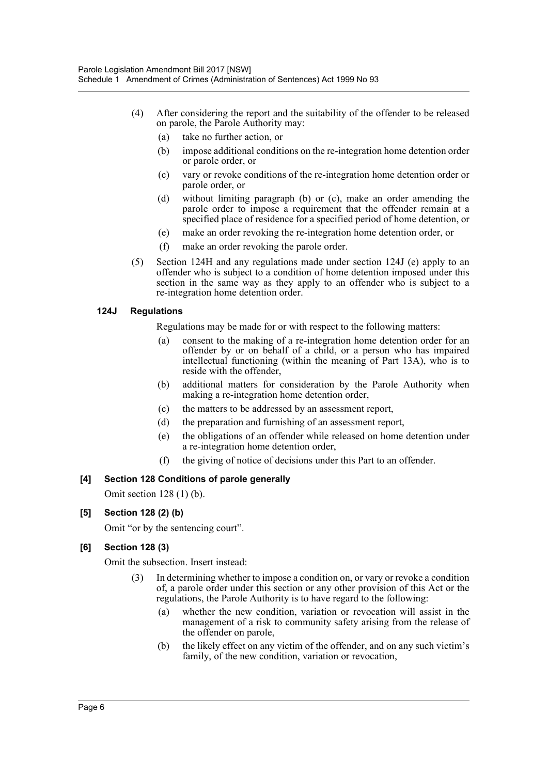- (4) After considering the report and the suitability of the offender to be released on parole, the Parole Authority may:
	- (a) take no further action, or
	- (b) impose additional conditions on the re-integration home detention order or parole order, or
	- (c) vary or revoke conditions of the re-integration home detention order or parole order, or
	- (d) without limiting paragraph (b) or (c), make an order amending the parole order to impose a requirement that the offender remain at a specified place of residence for a specified period of home detention, or
	- (e) make an order revoking the re-integration home detention order, or
	- (f) make an order revoking the parole order.
- (5) Section 124H and any regulations made under section 124J (e) apply to an offender who is subject to a condition of home detention imposed under this section in the same way as they apply to an offender who is subject to a re-integration home detention order.

#### **124J Regulations**

Regulations may be made for or with respect to the following matters:

- (a) consent to the making of a re-integration home detention order for an offender by or on behalf of a child, or a person who has impaired intellectual functioning (within the meaning of Part 13A), who is to reside with the offender,
- (b) additional matters for consideration by the Parole Authority when making a re-integration home detention order,
- (c) the matters to be addressed by an assessment report,
- (d) the preparation and furnishing of an assessment report,
- (e) the obligations of an offender while released on home detention under a re-integration home detention order,
- (f) the giving of notice of decisions under this Part to an offender.

## **[4] Section 128 Conditions of parole generally**

Omit section 128 (1) (b).

## **[5] Section 128 (2) (b)**

Omit "or by the sentencing court".

## **[6] Section 128 (3)**

Omit the subsection. Insert instead:

- (3) In determining whether to impose a condition on, or vary or revoke a condition of, a parole order under this section or any other provision of this Act or the regulations, the Parole Authority is to have regard to the following:
	- (a) whether the new condition, variation or revocation will assist in the management of a risk to community safety arising from the release of the offender on parole,
	- (b) the likely effect on any victim of the offender, and on any such victim's family, of the new condition, variation or revocation,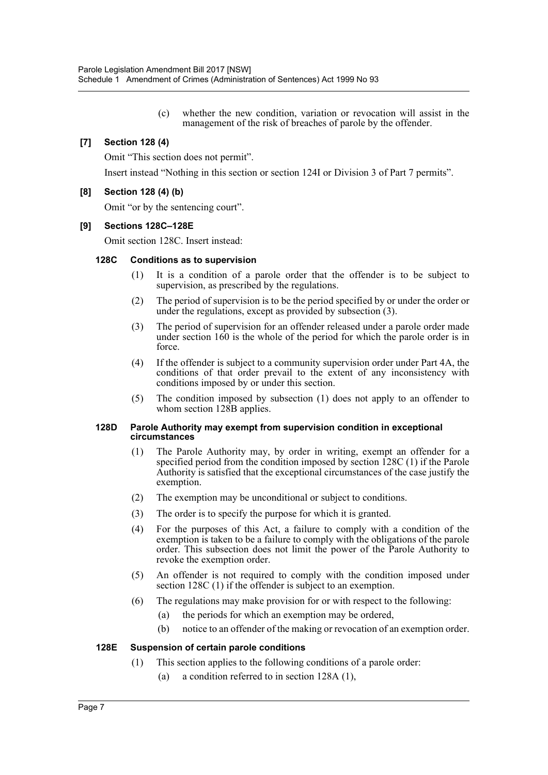(c) whether the new condition, variation or revocation will assist in the management of the risk of breaches of parole by the offender.

#### **[7] Section 128 (4)**

Omit "This section does not permit".

Insert instead "Nothing in this section or section 124I or Division 3 of Part 7 permits".

#### **[8] Section 128 (4) (b)**

Omit "or by the sentencing court".

#### **[9] Sections 128C–128E**

Omit section 128C. Insert instead:

#### **128C Conditions as to supervision**

- (1) It is a condition of a parole order that the offender is to be subject to supervision, as prescribed by the regulations.
- (2) The period of supervision is to be the period specified by or under the order or under the regulations, except as provided by subsection (3).
- (3) The period of supervision for an offender released under a parole order made under section 160 is the whole of the period for which the parole order is in force.
- (4) If the offender is subject to a community supervision order under Part 4A, the conditions of that order prevail to the extent of any inconsistency with conditions imposed by or under this section.
- (5) The condition imposed by subsection (1) does not apply to an offender to whom section 128B applies.

#### **128D Parole Authority may exempt from supervision condition in exceptional circumstances**

- (1) The Parole Authority may, by order in writing, exempt an offender for a specified period from the condition imposed by section 128C (1) if the Parole Authority is satisfied that the exceptional circumstances of the case justify the exemption.
- (2) The exemption may be unconditional or subject to conditions.
- (3) The order is to specify the purpose for which it is granted.
- (4) For the purposes of this Act, a failure to comply with a condition of the exemption is taken to be a failure to comply with the obligations of the parole order. This subsection does not limit the power of the Parole Authority to revoke the exemption order.
- (5) An offender is not required to comply with the condition imposed under section 128C (1) if the offender is subject to an exemption.
- (6) The regulations may make provision for or with respect to the following:
	- (a) the periods for which an exemption may be ordered,
	- (b) notice to an offender of the making or revocation of an exemption order.

#### **128E Suspension of certain parole conditions**

- (1) This section applies to the following conditions of a parole order:
	- (a) a condition referred to in section 128A (1),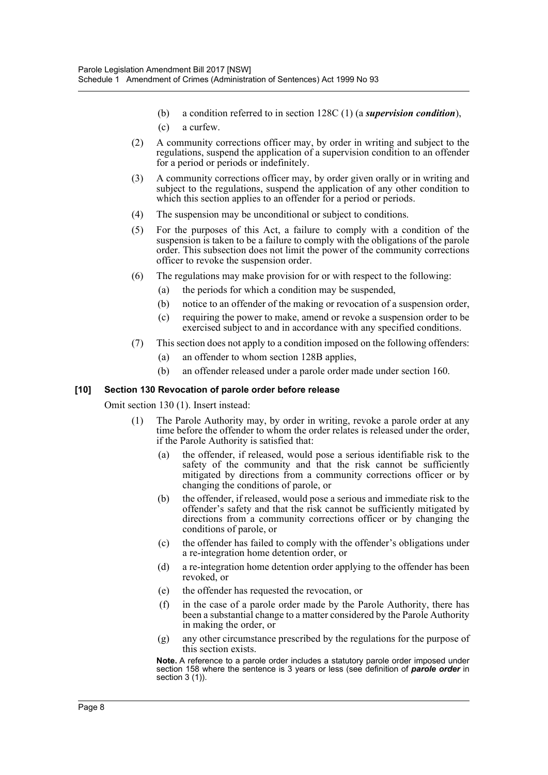- (b) a condition referred to in section 128C (1) (a *supervision condition*),
- (c) a curfew.
- (2) A community corrections officer may, by order in writing and subject to the regulations, suspend the application of a supervision condition to an offender for a period or periods or indefinitely.
- (3) A community corrections officer may, by order given orally or in writing and subject to the regulations, suspend the application of any other condition to which this section applies to an offender for a period or periods.
- (4) The suspension may be unconditional or subject to conditions.
- (5) For the purposes of this Act, a failure to comply with a condition of the suspension is taken to be a failure to comply with the obligations of the parole order. This subsection does not limit the power of the community corrections officer to revoke the suspension order.
- (6) The regulations may make provision for or with respect to the following:
	- (a) the periods for which a condition may be suspended,
	- (b) notice to an offender of the making or revocation of a suspension order,
	- (c) requiring the power to make, amend or revoke a suspension order to be exercised subject to and in accordance with any specified conditions.
- (7) This section does not apply to a condition imposed on the following offenders:
	- (a) an offender to whom section 128B applies,
	- (b) an offender released under a parole order made under section 160.

#### **[10] Section 130 Revocation of parole order before release**

Omit section 130 (1). Insert instead:

- (1) The Parole Authority may, by order in writing, revoke a parole order at any time before the offender to whom the order relates is released under the order, if the Parole Authority is satisfied that:
	- (a) the offender, if released, would pose a serious identifiable risk to the safety of the community and that the risk cannot be sufficiently mitigated by directions from a community corrections officer or by changing the conditions of parole, or
	- (b) the offender, if released, would pose a serious and immediate risk to the offender's safety and that the risk cannot be sufficiently mitigated by directions from a community corrections officer or by changing the conditions of parole, or
	- (c) the offender has failed to comply with the offender's obligations under a re-integration home detention order, or
	- (d) a re-integration home detention order applying to the offender has been revoked, or
	- (e) the offender has requested the revocation, or
	- (f) in the case of a parole order made by the Parole Authority, there has been a substantial change to a matter considered by the Parole Authority in making the order, or
	- (g) any other circumstance prescribed by the regulations for the purpose of this section exists.

**Note.** A reference to a parole order includes a statutory parole order imposed under section 158 where the sentence is 3 years or less (see definition of *parole order* in section 3 (1)).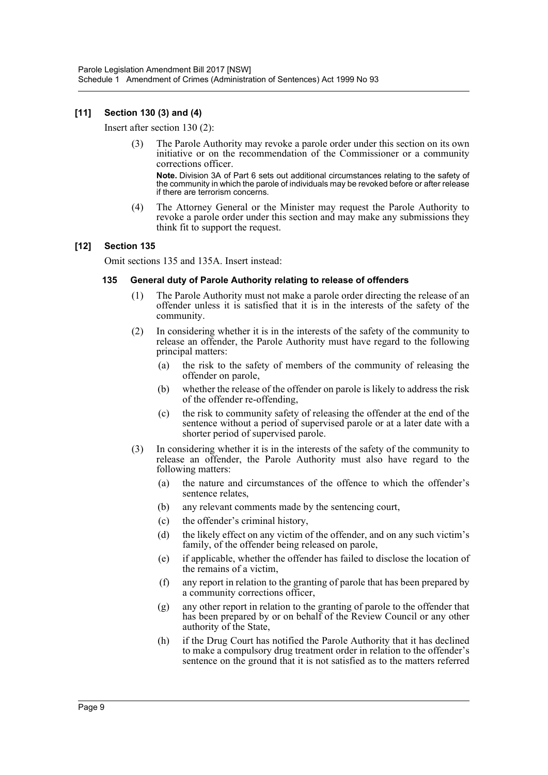#### **[11] Section 130 (3) and (4)**

Insert after section 130 (2):

(3) The Parole Authority may revoke a parole order under this section on its own initiative or on the recommendation of the Commissioner or a community corrections officer.

**Note.** Division 3A of Part 6 sets out additional circumstances relating to the safety of the community in which the parole of individuals may be revoked before or after release if there are terrorism concerns.

(4) The Attorney General or the Minister may request the Parole Authority to revoke a parole order under this section and may make any submissions they think fit to support the request.

#### **[12] Section 135**

Omit sections 135 and 135A. Insert instead:

#### **135 General duty of Parole Authority relating to release of offenders**

- (1) The Parole Authority must not make a parole order directing the release of an offender unless it is satisfied that it is in the interests of the safety of the community.
- (2) In considering whether it is in the interests of the safety of the community to release an offender, the Parole Authority must have regard to the following principal matters:
	- (a) the risk to the safety of members of the community of releasing the offender on parole,
	- (b) whether the release of the offender on parole is likely to address the risk of the offender re-offending,
	- (c) the risk to community safety of releasing the offender at the end of the sentence without a period of supervised parole or at a later date with a shorter period of supervised parole.
- (3) In considering whether it is in the interests of the safety of the community to release an offender, the Parole Authority must also have regard to the following matters:
	- (a) the nature and circumstances of the offence to which the offender's sentence relates,
	- (b) any relevant comments made by the sentencing court,
	- (c) the offender's criminal history,
	- (d) the likely effect on any victim of the offender, and on any such victim's family, of the offender being released on parole,
	- (e) if applicable, whether the offender has failed to disclose the location of the remains of a victim,
	- (f) any report in relation to the granting of parole that has been prepared by a community corrections officer,
	- (g) any other report in relation to the granting of parole to the offender that has been prepared by or on behalf of the Review Council or any other authority of the State,
	- (h) if the Drug Court has notified the Parole Authority that it has declined to make a compulsory drug treatment order in relation to the offender's sentence on the ground that it is not satisfied as to the matters referred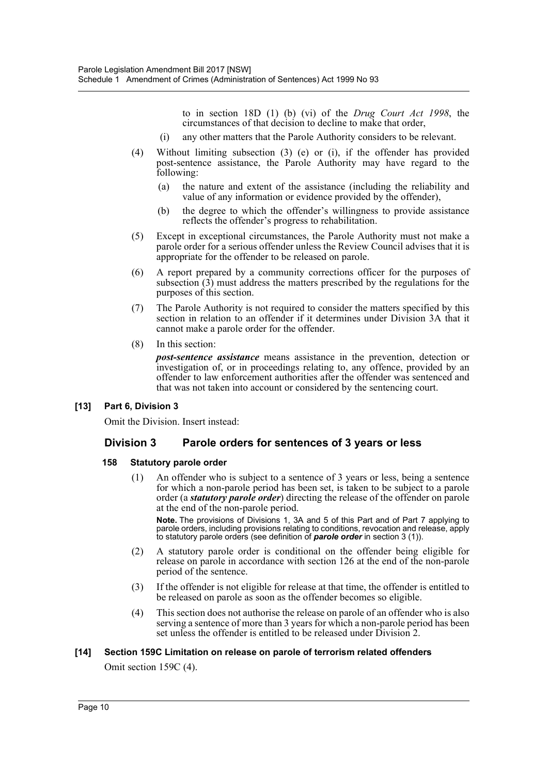to in section 18D (1) (b) (vi) of the *Drug Court Act 1998*, the circumstances of that decision to decline to make that order,

- (i) any other matters that the Parole Authority considers to be relevant.
- (4) Without limiting subsection (3) (e) or (i), if the offender has provided post-sentence assistance, the Parole Authority may have regard to the following:
	- (a) the nature and extent of the assistance (including the reliability and value of any information or evidence provided by the offender),
	- (b) the degree to which the offender's willingness to provide assistance reflects the offender's progress to rehabilitation.
- (5) Except in exceptional circumstances, the Parole Authority must not make a parole order for a serious offender unless the Review Council advises that it is appropriate for the offender to be released on parole.
- (6) A report prepared by a community corrections officer for the purposes of subsection  $(3)$  must address the matters prescribed by the regulations for the purposes of this section.
- (7) The Parole Authority is not required to consider the matters specified by this section in relation to an offender if it determines under Division 3A that it cannot make a parole order for the offender.
- (8) In this section:

*post-sentence assistance* means assistance in the prevention, detection or investigation of, or in proceedings relating to, any offence, provided by an offender to law enforcement authorities after the offender was sentenced and that was not taken into account or considered by the sentencing court.

## **[13] Part 6, Division 3**

Omit the Division. Insert instead:

# **Division 3 Parole orders for sentences of 3 years or less**

#### **158 Statutory parole order**

(1) An offender who is subject to a sentence of 3 years or less, being a sentence for which a non-parole period has been set, is taken to be subject to a parole order (a *statutory parole order*) directing the release of the offender on parole at the end of the non-parole period.

**Note.** The provisions of Divisions 1, 3A and 5 of this Part and of Part 7 applying to parole orders, including provisions relating to conditions, revocation and release, apply to statutory parole orders (see definition of *parole order* in section 3 (1)).

- (2) A statutory parole order is conditional on the offender being eligible for release on parole in accordance with section 126 at the end of the non-parole period of the sentence.
- (3) If the offender is not eligible for release at that time, the offender is entitled to be released on parole as soon as the offender becomes so eligible.
- (4) This section does not authorise the release on parole of an offender who is also serving a sentence of more than 3 years for which a non-parole period has been set unless the offender is entitled to be released under Division 2.

## **[14] Section 159C Limitation on release on parole of terrorism related offenders**

Omit section 159C (4).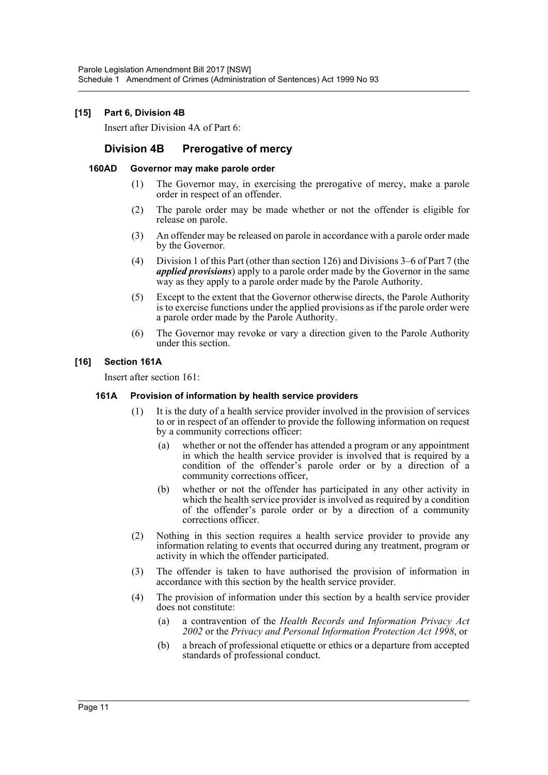#### **[15] Part 6, Division 4B**

Insert after Division 4A of Part 6:

# **Division 4B Prerogative of mercy**

#### **160AD Governor may make parole order**

- (1) The Governor may, in exercising the prerogative of mercy, make a parole order in respect of an offender.
- (2) The parole order may be made whether or not the offender is eligible for release on parole.
- (3) An offender may be released on parole in accordance with a parole order made by the Governor.
- (4) Division 1 of this Part (other than section 126) and Divisions 3–6 of Part 7 (the *applied provisions*) apply to a parole order made by the Governor in the same way as they apply to a parole order made by the Parole Authority.
- (5) Except to the extent that the Governor otherwise directs, the Parole Authority is to exercise functions under the applied provisions as if the parole order were a parole order made by the Parole Authority.
- (6) The Governor may revoke or vary a direction given to the Parole Authority under this section.

#### **[16] Section 161A**

Insert after section 161:

#### **161A Provision of information by health service providers**

- (1) It is the duty of a health service provider involved in the provision of services to or in respect of an offender to provide the following information on request by a community corrections officer:
	- (a) whether or not the offender has attended a program or any appointment in which the health service provider is involved that is required by a condition of the offender's parole order or by a direction of a community corrections officer,
	- (b) whether or not the offender has participated in any other activity in which the health service provider is involved as required by a condition of the offender's parole order or by a direction of a community corrections officer.
- (2) Nothing in this section requires a health service provider to provide any information relating to events that occurred during any treatment, program or activity in which the offender participated.
- (3) The offender is taken to have authorised the provision of information in accordance with this section by the health service provider.
- (4) The provision of information under this section by a health service provider does not constitute:
	- (a) a contravention of the *Health Records and Information Privacy Act 2002* or the *Privacy and Personal Information Protection Act 1998*, or
	- (b) a breach of professional etiquette or ethics or a departure from accepted standards of professional conduct.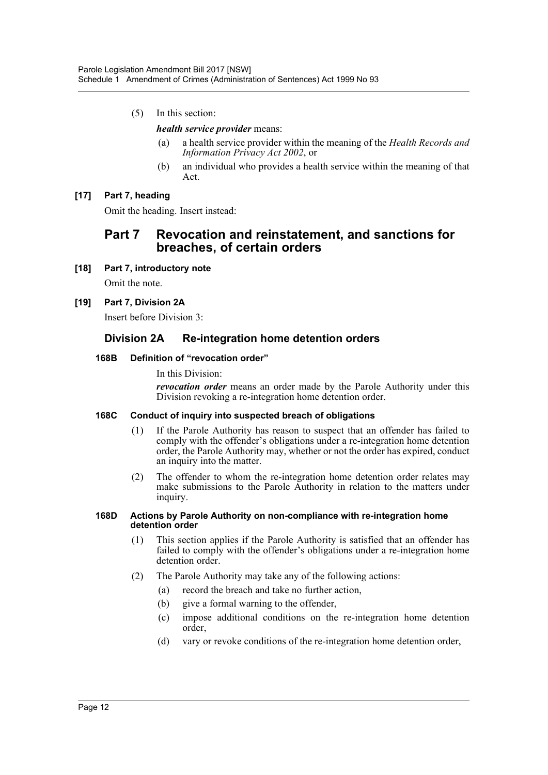(5) In this section:

#### *health service provider* means:

- (a) a health service provider within the meaning of the *Health Records and Information Privacy Act 2002*, or
- (b) an individual who provides a health service within the meaning of that Act.

## **[17] Part 7, heading**

Omit the heading. Insert instead:

# **Part 7 Revocation and reinstatement, and sanctions for breaches, of certain orders**

**[18] Part 7, introductory note**

Omit the note.

**[19] Part 7, Division 2A**

Insert before Division 3:

# **Division 2A Re-integration home detention orders**

#### **168B Definition of "revocation order"**

In this Division:

*revocation order* means an order made by the Parole Authority under this Division revoking a re-integration home detention order.

#### **168C Conduct of inquiry into suspected breach of obligations**

- (1) If the Parole Authority has reason to suspect that an offender has failed to comply with the offender's obligations under a re-integration home detention order, the Parole Authority may, whether or not the order has expired, conduct an inquiry into the matter.
- (2) The offender to whom the re-integration home detention order relates may make submissions to the Parole Authority in relation to the matters under inquiry.

#### **168D Actions by Parole Authority on non-compliance with re-integration home detention order**

- (1) This section applies if the Parole Authority is satisfied that an offender has failed to comply with the offender's obligations under a re-integration home detention order.
- (2) The Parole Authority may take any of the following actions:
	- (a) record the breach and take no further action,
	- (b) give a formal warning to the offender,
	- (c) impose additional conditions on the re-integration home detention order,
	- (d) vary or revoke conditions of the re-integration home detention order,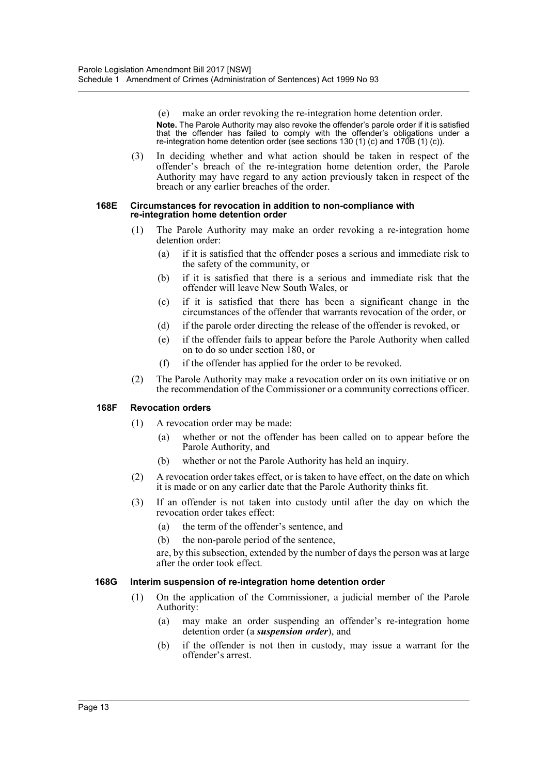(e) make an order revoking the re-integration home detention order. **Note.** The Parole Authority may also revoke the offender's parole order if it is satisfied that the offender has failed to comply with the offender's obligations under a re-integration home detention order (see sections 130 (1) (c) and 170B (1) (c)).

(3) In deciding whether and what action should be taken in respect of the offender's breach of the re-integration home detention order, the Parole Authority may have regard to any action previously taken in respect of the breach or any earlier breaches of the order.

#### **168E Circumstances for revocation in addition to non-compliance with re-integration home detention order**

- (1) The Parole Authority may make an order revoking a re-integration home detention order:
	- (a) if it is satisfied that the offender poses a serious and immediate risk to the safety of the community, or
	- (b) if it is satisfied that there is a serious and immediate risk that the offender will leave New South Wales, or
	- (c) if it is satisfied that there has been a significant change in the circumstances of the offender that warrants revocation of the order, or
	- (d) if the parole order directing the release of the offender is revoked, or
	- (e) if the offender fails to appear before the Parole Authority when called on to do so under section 180, or
	- (f) if the offender has applied for the order to be revoked.
- (2) The Parole Authority may make a revocation order on its own initiative or on the recommendation of the Commissioner or a community corrections officer.

#### **168F Revocation orders**

- (1) A revocation order may be made:
	- (a) whether or not the offender has been called on to appear before the Parole Authority, and
	- (b) whether or not the Parole Authority has held an inquiry.
- (2) A revocation order takes effect, or is taken to have effect, on the date on which it is made or on any earlier date that the Parole Authority thinks fit.
- (3) If an offender is not taken into custody until after the day on which the revocation order takes effect:
	- (a) the term of the offender's sentence, and
	- (b) the non-parole period of the sentence,

are, by this subsection, extended by the number of days the person was at large after the order took effect.

#### **168G Interim suspension of re-integration home detention order**

- (1) On the application of the Commissioner, a judicial member of the Parole Authority:
	- (a) may make an order suspending an offender's re-integration home detention order (a *suspension order*), and
	- (b) if the offender is not then in custody, may issue a warrant for the offender's arrest.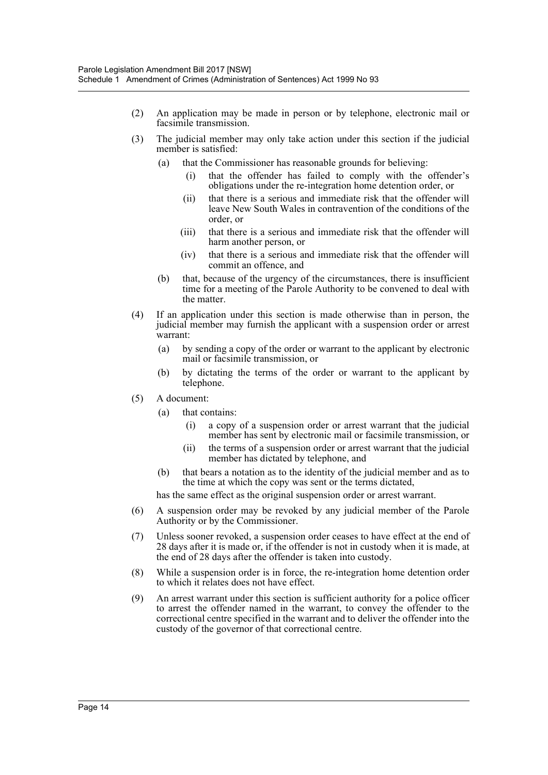- (2) An application may be made in person or by telephone, electronic mail or facsimile transmission.
- (3) The judicial member may only take action under this section if the judicial member is satisfied:
	- (a) that the Commissioner has reasonable grounds for believing:
		- (i) that the offender has failed to comply with the offender's obligations under the re-integration home detention order, or
		- (ii) that there is a serious and immediate risk that the offender will leave New South Wales in contravention of the conditions of the order, or
		- (iii) that there is a serious and immediate risk that the offender will harm another person, or
		- (iv) that there is a serious and immediate risk that the offender will commit an offence, and
	- (b) that, because of the urgency of the circumstances, there is insufficient time for a meeting of the Parole Authority to be convened to deal with the matter.
- (4) If an application under this section is made otherwise than in person, the judicial member may furnish the applicant with a suspension order or arrest warrant:
	- (a) by sending a copy of the order or warrant to the applicant by electronic mail or facsimile transmission, or
	- (b) by dictating the terms of the order or warrant to the applicant by telephone.
- (5) A document:
	- (a) that contains:
		- (i) a copy of a suspension order or arrest warrant that the judicial member has sent by electronic mail or facsimile transmission, or
		- (ii) the terms of a suspension order or arrest warrant that the judicial member has dictated by telephone, and
	- (b) that bears a notation as to the identity of the judicial member and as to the time at which the copy was sent or the terms dictated,

has the same effect as the original suspension order or arrest warrant.

- (6) A suspension order may be revoked by any judicial member of the Parole Authority or by the Commissioner.
- (7) Unless sooner revoked, a suspension order ceases to have effect at the end of 28 days after it is made or, if the offender is not in custody when it is made, at the end of 28 days after the offender is taken into custody.
- (8) While a suspension order is in force, the re-integration home detention order to which it relates does not have effect.
- (9) An arrest warrant under this section is sufficient authority for a police officer to arrest the offender named in the warrant, to convey the offender to the correctional centre specified in the warrant and to deliver the offender into the custody of the governor of that correctional centre.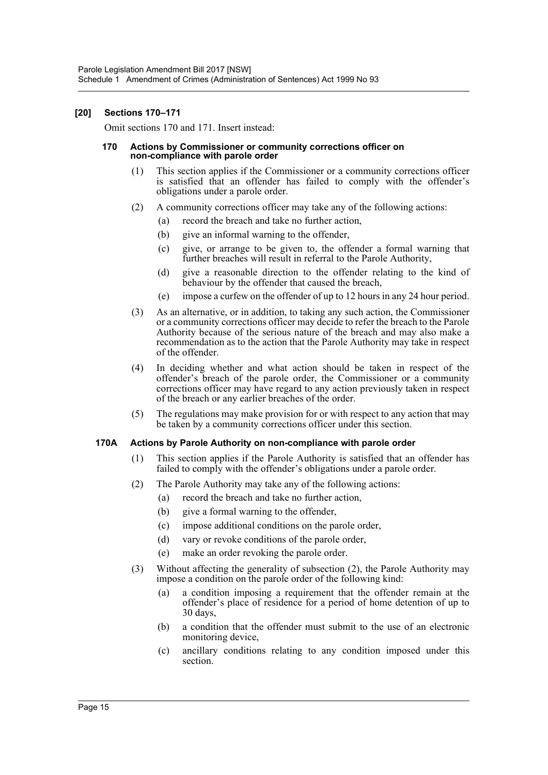#### **[20] Sections 170–171**

Omit sections 170 and 171. Insert instead:

#### **170 Actions by Commissioner or community corrections officer on non-compliance with parole order**

- (1) This section applies if the Commissioner or a community corrections officer is satisfied that an offender has failed to comply with the offender's obligations under a parole order.
- (2) A community corrections officer may take any of the following actions:
	- (a) record the breach and take no further action,
	- (b) give an informal warning to the offender,
	- (c) give, or arrange to be given to, the offender a formal warning that further breaches will result in referral to the Parole Authority,
	- (d) give a reasonable direction to the offender relating to the kind of behaviour by the offender that caused the breach,
	- (e) impose a curfew on the offender of up to 12 hours in any 24 hour period.
- (3) As an alternative, or in addition, to taking any such action, the Commissioner or a community corrections officer may decide to refer the breach to the Parole Authority because of the serious nature of the breach and may also make a recommendation as to the action that the Parole Authority may take in respect of the offender.
- (4) In deciding whether and what action should be taken in respect of the offender's breach of the parole order, the Commissioner or a community corrections officer may have regard to any action previously taken in respect of the breach or any earlier breaches of the order.
- (5) The regulations may make provision for or with respect to any action that may be taken by a community corrections officer under this section.

#### **170A Actions by Parole Authority on non-compliance with parole order**

- (1) This section applies if the Parole Authority is satisfied that an offender has failed to comply with the offender's obligations under a parole order.
- (2) The Parole Authority may take any of the following actions:
	- (a) record the breach and take no further action,
	- (b) give a formal warning to the offender,
	- (c) impose additional conditions on the parole order,
	- (d) vary or revoke conditions of the parole order,
	- (e) make an order revoking the parole order.
- (3) Without affecting the generality of subsection (2), the Parole Authority may impose a condition on the parole order of the following kind:
	- (a) a condition imposing a requirement that the offender remain at the offender's place of residence for a period of home detention of up to 30 days,
	- (b) a condition that the offender must submit to the use of an electronic monitoring device,
	- (c) ancillary conditions relating to any condition imposed under this section.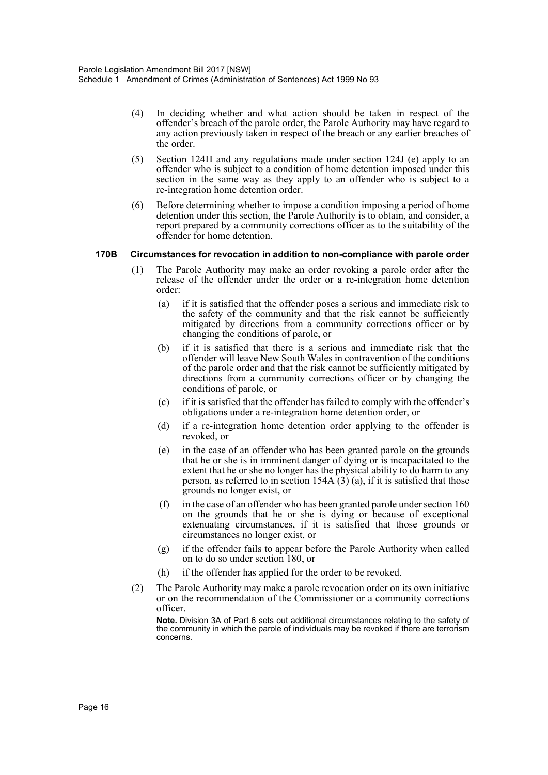- (4) In deciding whether and what action should be taken in respect of the offender's breach of the parole order, the Parole Authority may have regard to any action previously taken in respect of the breach or any earlier breaches of the order.
- (5) Section 124H and any regulations made under section 124J (e) apply to an offender who is subject to a condition of home detention imposed under this section in the same way as they apply to an offender who is subject to a re-integration home detention order.
- (6) Before determining whether to impose a condition imposing a period of home detention under this section, the Parole Authority is to obtain, and consider, a report prepared by a community corrections officer as to the suitability of the offender for home detention.

#### **170B Circumstances for revocation in addition to non-compliance with parole order**

- (1) The Parole Authority may make an order revoking a parole order after the release of the offender under the order or a re-integration home detention order:
	- (a) if it is satisfied that the offender poses a serious and immediate risk to the safety of the community and that the risk cannot be sufficiently mitigated by directions from a community corrections officer or by changing the conditions of parole, or
	- (b) if it is satisfied that there is a serious and immediate risk that the offender will leave New South Wales in contravention of the conditions of the parole order and that the risk cannot be sufficiently mitigated by directions from a community corrections officer or by changing the conditions of parole, or
	- (c) if it is satisfied that the offender has failed to comply with the offender's obligations under a re-integration home detention order, or
	- (d) if a re-integration home detention order applying to the offender is revoked, or
	- (e) in the case of an offender who has been granted parole on the grounds that he or she is in imminent danger of dying or is incapacitated to the extent that he or she no longer has the physical ability to do harm to any person, as referred to in section  $154A(3)(a)$ , if it is satisfied that those grounds no longer exist, or
	- (f) in the case of an offender who has been granted parole under section 160 on the grounds that he or she is dying or because of exceptional extenuating circumstances, if it is satisfied that those grounds or circumstances no longer exist, or
	- (g) if the offender fails to appear before the Parole Authority when called on to do so under section 180, or
	- (h) if the offender has applied for the order to be revoked.
- (2) The Parole Authority may make a parole revocation order on its own initiative or on the recommendation of the Commissioner or a community corrections officer.

**Note.** Division 3A of Part 6 sets out additional circumstances relating to the safety of the community in which the parole of individuals may be revoked if there are terrorism concerns.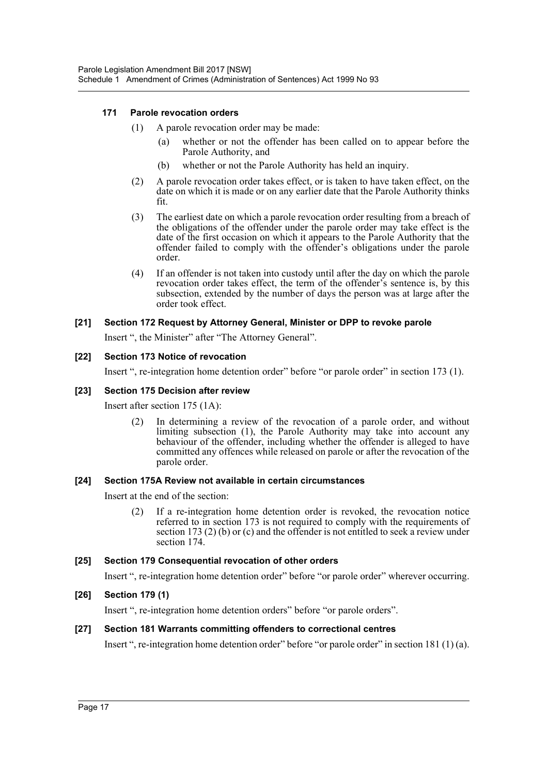#### **171 Parole revocation orders**

- (1) A parole revocation order may be made:
	- (a) whether or not the offender has been called on to appear before the Parole Authority, and
	- (b) whether or not the Parole Authority has held an inquiry.
- (2) A parole revocation order takes effect, or is taken to have taken effect, on the date on which it is made or on any earlier date that the Parole Authority thinks fit.
- (3) The earliest date on which a parole revocation order resulting from a breach of the obligations of the offender under the parole order may take effect is the date of the first occasion on which it appears to the Parole Authority that the offender failed to comply with the offender's obligations under the parole order.
- (4) If an offender is not taken into custody until after the day on which the parole revocation order takes effect, the term of the offender's sentence is, by this subsection, extended by the number of days the person was at large after the order took effect.

## **[21] Section 172 Request by Attorney General, Minister or DPP to revoke parole**

Insert ", the Minister" after "The Attorney General".

#### **[22] Section 173 Notice of revocation**

Insert ", re-integration home detention order" before "or parole order" in section 173 (1).

#### **[23] Section 175 Decision after review**

Insert after section 175 (1A):

(2) In determining a review of the revocation of a parole order, and without limiting subsection (1), the Parole Authority may take into account any behaviour of the offender, including whether the offender is alleged to have committed any offences while released on parole or after the revocation of the parole order.

#### **[24] Section 175A Review not available in certain circumstances**

Insert at the end of the section:

(2) If a re-integration home detention order is revoked, the revocation notice referred to in section 173 is not required to comply with the requirements of section 173 (2) (b) or (c) and the offender is not entitled to seek a review under section 174.

## **[25] Section 179 Consequential revocation of other orders**

Insert ", re-integration home detention order" before "or parole order" wherever occurring.

## **[26] Section 179 (1)**

Insert ", re-integration home detention orders" before "or parole orders".

## **[27] Section 181 Warrants committing offenders to correctional centres**

Insert ", re-integration home detention order" before "or parole order" in section 181 (1) (a).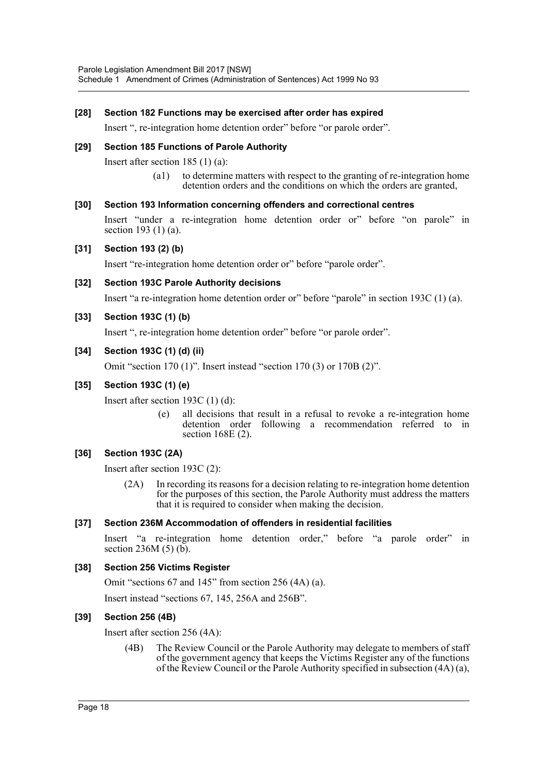#### **[28] Section 182 Functions may be exercised after order has expired**

Insert ", re-integration home detention order" before "or parole order".

#### **[29] Section 185 Functions of Parole Authority**

Insert after section 185 (1) (a):

(a1) to determine matters with respect to the granting of re-integration home detention orders and the conditions on which the orders are granted,

#### **[30] Section 193 Information concerning offenders and correctional centres**

Insert "under a re-integration home detention order or" before "on parole" in section 193 (1) (a).

#### **[31] Section 193 (2) (b)**

Insert "re-integration home detention order or" before "parole order".

#### **[32] Section 193C Parole Authority decisions**

Insert "a re-integration home detention order or" before "parole" in section 193C (1) (a).

#### **[33] Section 193C (1) (b)**

Insert ", re-integration home detention order" before "or parole order".

#### **[34] Section 193C (1) (d) (ii)**

Omit "section 170 (1)". Insert instead "section 170 (3) or 170B (2)".

#### **[35] Section 193C (1) (e)**

Insert after section 193C (1) (d):

(e) all decisions that result in a refusal to revoke a re-integration home detention order following a recommendation referred to in section 168E (2).

## **[36] Section 193C (2A)**

Insert after section 193C (2):

(2A) In recording its reasons for a decision relating to re-integration home detention for the purposes of this section, the Parole Authority must address the matters that it is required to consider when making the decision.

#### **[37] Section 236M Accommodation of offenders in residential facilities**

Insert "a re-integration home detention order," before "a parole order" in section 236M (5) (b).

#### **[38] Section 256 Victims Register**

Omit "sections 67 and 145" from section 256 (4A) (a).

Insert instead "sections 67, 145, 256A and 256B".

## **[39] Section 256 (4B)**

Insert after section 256 (4A):

(4B) The Review Council or the Parole Authority may delegate to members of staff of the government agency that keeps the Victims Register any of the functions of the Review Council or the Parole Authority specified in subsection (4A) (a),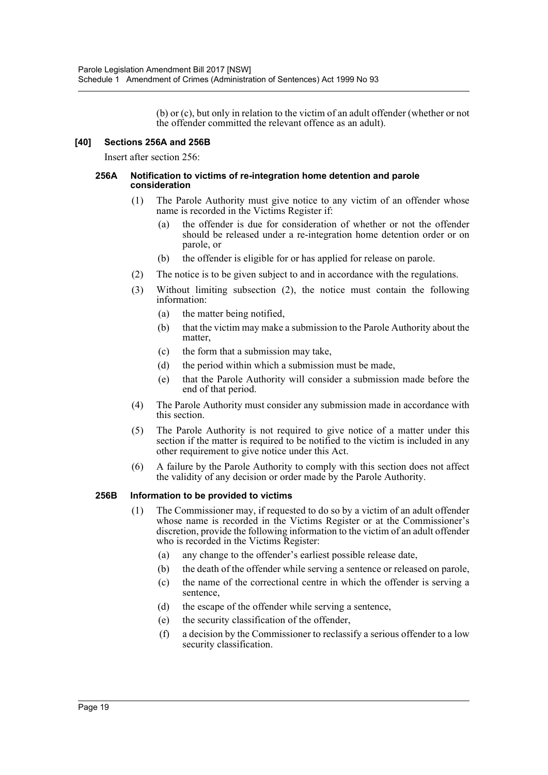(b) or (c), but only in relation to the victim of an adult offender (whether or not the offender committed the relevant offence as an adult).

#### **[40] Sections 256A and 256B**

Insert after section 256:

#### **256A Notification to victims of re-integration home detention and parole consideration**

- (1) The Parole Authority must give notice to any victim of an offender whose name is recorded in the Victims Register if:
	- (a) the offender is due for consideration of whether or not the offender should be released under a re-integration home detention order or on parole, or
	- (b) the offender is eligible for or has applied for release on parole.
- (2) The notice is to be given subject to and in accordance with the regulations.
- (3) Without limiting subsection (2), the notice must contain the following information:
	- (a) the matter being notified,
	- (b) that the victim may make a submission to the Parole Authority about the matter,
	- (c) the form that a submission may take,
	- (d) the period within which a submission must be made,
	- (e) that the Parole Authority will consider a submission made before the end of that period.
- (4) The Parole Authority must consider any submission made in accordance with this section.
- (5) The Parole Authority is not required to give notice of a matter under this section if the matter is required to be notified to the victim is included in any other requirement to give notice under this Act.
- (6) A failure by the Parole Authority to comply with this section does not affect the validity of any decision or order made by the Parole Authority.

#### **256B Information to be provided to victims**

- (1) The Commissioner may, if requested to do so by a victim of an adult offender whose name is recorded in the Victims Register or at the Commissioner's discretion, provide the following information to the victim of an adult offender who is recorded in the Victims Register:
	- (a) any change to the offender's earliest possible release date,
	- (b) the death of the offender while serving a sentence or released on parole,
	- (c) the name of the correctional centre in which the offender is serving a sentence,
	- (d) the escape of the offender while serving a sentence,
	- (e) the security classification of the offender,
	- (f) a decision by the Commissioner to reclassify a serious offender to a low security classification.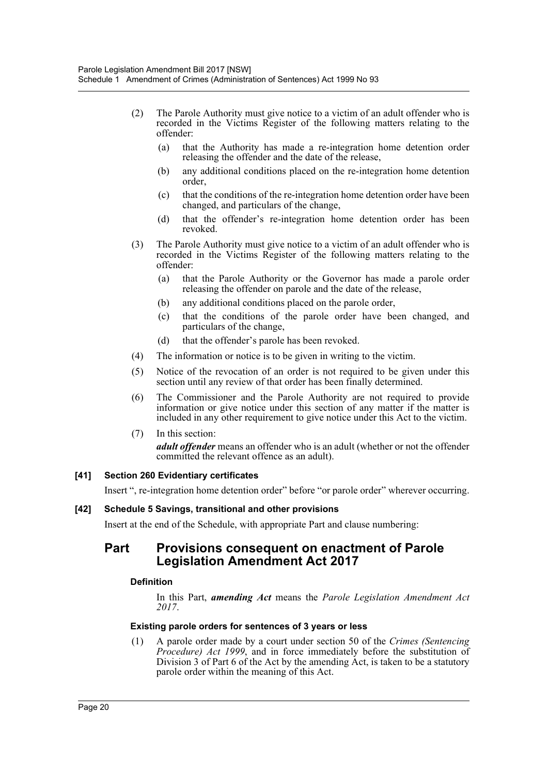- (2) The Parole Authority must give notice to a victim of an adult offender who is recorded in the Victims Register of the following matters relating to the offender:
	- (a) that the Authority has made a re-integration home detention order releasing the offender and the date of the release,
	- (b) any additional conditions placed on the re-integration home detention order,
	- (c) that the conditions of the re-integration home detention order have been changed, and particulars of the change,
	- (d) that the offender's re-integration home detention order has been revoked.
- (3) The Parole Authority must give notice to a victim of an adult offender who is recorded in the Victims Register of the following matters relating to the offender:
	- (a) that the Parole Authority or the Governor has made a parole order releasing the offender on parole and the date of the release,
	- (b) any additional conditions placed on the parole order,
	- (c) that the conditions of the parole order have been changed, and particulars of the change,
	- (d) that the offender's parole has been revoked.
- (4) The information or notice is to be given in writing to the victim.
- (5) Notice of the revocation of an order is not required to be given under this section until any review of that order has been finally determined.
- (6) The Commissioner and the Parole Authority are not required to provide information or give notice under this section of any matter if the matter is included in any other requirement to give notice under this Act to the victim.
- (7) In this section: *adult offender* means an offender who is an adult (whether or not the offender committed the relevant offence as an adult).

#### **[41] Section 260 Evidentiary certificates**

Insert ", re-integration home detention order" before "or parole order" wherever occurring.

#### **[42] Schedule 5 Savings, transitional and other provisions**

Insert at the end of the Schedule, with appropriate Part and clause numbering:

# **Part Provisions consequent on enactment of Parole Legislation Amendment Act 2017**

#### **Definition**

In this Part, *amending Act* means the *Parole Legislation Amendment Act 2017*.

#### **Existing parole orders for sentences of 3 years or less**

(1) A parole order made by a court under section 50 of the *Crimes (Sentencing Procedure) Act 1999*, and in force immediately before the substitution of Division 3 of Part 6 of the Act by the amending Act, is taken to be a statutory parole order within the meaning of this Act.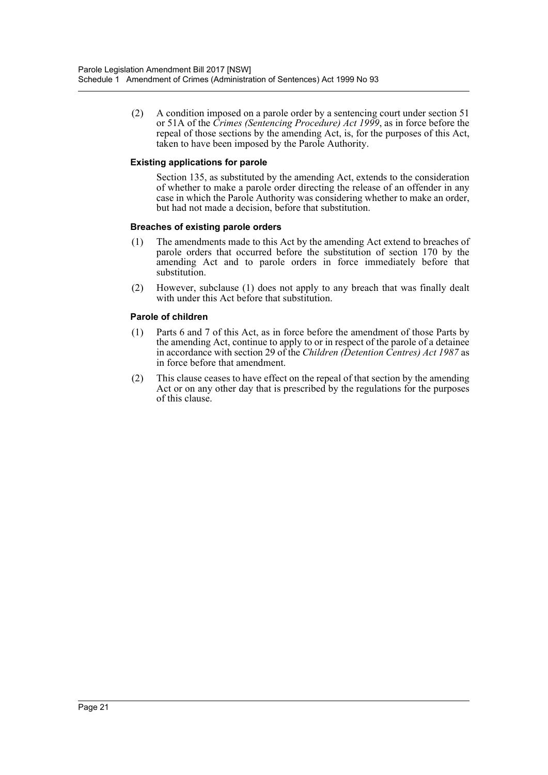(2) A condition imposed on a parole order by a sentencing court under section 51 or 51A of the *Crimes (Sentencing Procedure) Act 1999*, as in force before the repeal of those sections by the amending Act, is, for the purposes of this Act, taken to have been imposed by the Parole Authority.

#### **Existing applications for parole**

Section 135, as substituted by the amending Act, extends to the consideration of whether to make a parole order directing the release of an offender in any case in which the Parole Authority was considering whether to make an order, but had not made a decision, before that substitution.

#### **Breaches of existing parole orders**

- (1) The amendments made to this Act by the amending Act extend to breaches of parole orders that occurred before the substitution of section 170 by the amending Act and to parole orders in force immediately before that substitution.
- (2) However, subclause (1) does not apply to any breach that was finally dealt with under this Act before that substitution.

#### **Parole of children**

- (1) Parts 6 and 7 of this Act, as in force before the amendment of those Parts by the amending Act, continue to apply to or in respect of the parole of a detainee in accordance with section 29 of the *Children (Detention Centres) Act 1987* as in force before that amendment.
- (2) This clause ceases to have effect on the repeal of that section by the amending Act or on any other day that is prescribed by the regulations for the purposes of this clause.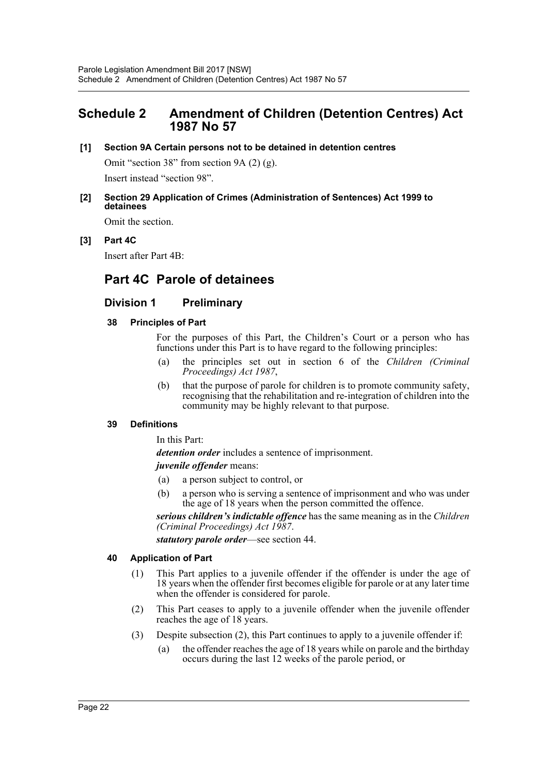# <span id="page-22-0"></span>**Schedule 2 Amendment of Children (Detention Centres) Act 1987 No 57**

**[1] Section 9A Certain persons not to be detained in detention centres**

Omit "section 38" from section 9A (2) (g). Insert instead "section 98".

**[2] Section 29 Application of Crimes (Administration of Sentences) Act 1999 to detainees**

Omit the section.

## **[3] Part 4C**

Insert after Part 4B:

# **Part 4C Parole of detainees**

# **Division 1 Preliminary**

## **38 Principles of Part**

For the purposes of this Part, the Children's Court or a person who has functions under this Part is to have regard to the following principles:

- (a) the principles set out in section 6 of the *Children (Criminal Proceedings) Act 1987*,
- (b) that the purpose of parole for children is to promote community safety, recognising that the rehabilitation and re-integration of children into the community may be highly relevant to that purpose.

## **39 Definitions**

In this Part:

*detention order* includes a sentence of imprisonment.

## *juvenile offender* means:

- (a) a person subject to control, or
- (b) a person who is serving a sentence of imprisonment and who was under the age of 18 years when the person committed the offence.

*serious children's indictable offence* has the same meaning as in the *Children (Criminal Proceedings) Act 1987*.

*statutory parole order*—see section 44.

## **40 Application of Part**

- (1) This Part applies to a juvenile offender if the offender is under the age of 18 years when the offender first becomes eligible for parole or at any later time when the offender is considered for parole.
- (2) This Part ceases to apply to a juvenile offender when the juvenile offender reaches the age of 18 years.
- (3) Despite subsection (2), this Part continues to apply to a juvenile offender if:
	- (a) the offender reaches the age of 18 years while on parole and the birthday occurs during the last 12 weeks of the parole period, or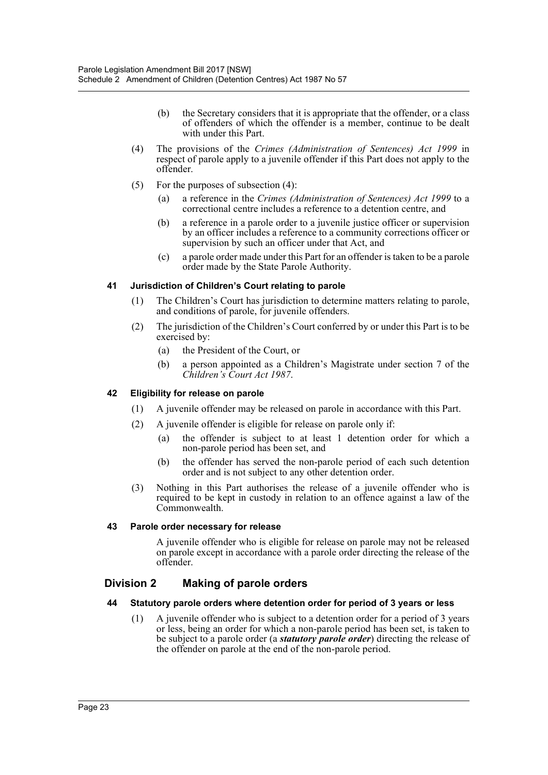- (b) the Secretary considers that it is appropriate that the offender, or a class of offenders of which the offender is a member, continue to be dealt with under this Part.
- (4) The provisions of the *Crimes (Administration of Sentences) Act 1999* in respect of parole apply to a juvenile offender if this Part does not apply to the offender.
- (5) For the purposes of subsection (4):
	- (a) a reference in the *Crimes (Administration of Sentences) Act 1999* to a correctional centre includes a reference to a detention centre, and
	- (b) a reference in a parole order to a juvenile justice officer or supervision by an officer includes a reference to a community corrections officer or supervision by such an officer under that Act, and
	- (c) a parole order made under this Part for an offender is taken to be a parole order made by the State Parole Authority.

#### **41 Jurisdiction of Children's Court relating to parole**

- (1) The Children's Court has jurisdiction to determine matters relating to parole, and conditions of parole, for juvenile offenders.
- (2) The jurisdiction of the Children's Court conferred by or under this Part is to be exercised by:
	- (a) the President of the Court, or
	- (b) a person appointed as a Children's Magistrate under section 7 of the *Children's Court Act 1987*.

## **42 Eligibility for release on parole**

- (1) A juvenile offender may be released on parole in accordance with this Part.
- (2) A juvenile offender is eligible for release on parole only if:
	- (a) the offender is subject to at least 1 detention order for which a non-parole period has been set, and
	- (b) the offender has served the non-parole period of each such detention order and is not subject to any other detention order.
- (3) Nothing in this Part authorises the release of a juvenile offender who is required to be kept in custody in relation to an offence against a law of the Commonwealth.

#### **43 Parole order necessary for release**

A juvenile offender who is eligible for release on parole may not be released on parole except in accordance with a parole order directing the release of the offender.

# **Division 2 Making of parole orders**

#### **44 Statutory parole orders where detention order for period of 3 years or less**

(1) A juvenile offender who is subject to a detention order for a period of 3 years or less, being an order for which a non-parole period has been set, is taken to be subject to a parole order (a *statutory parole order*) directing the release of the offender on parole at the end of the non-parole period.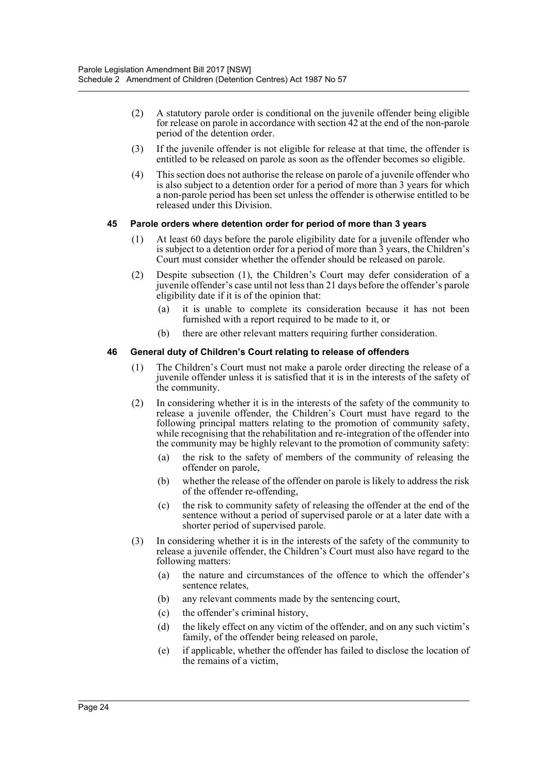- (2) A statutory parole order is conditional on the juvenile offender being eligible for release on parole in accordance with section 42 at the end of the non-parole period of the detention order.
- (3) If the juvenile offender is not eligible for release at that time, the offender is entitled to be released on parole as soon as the offender becomes so eligible.
- (4) This section does not authorise the release on parole of a juvenile offender who is also subject to a detention order for a period of more than 3 years for which a non-parole period has been set unless the offender is otherwise entitled to be released under this Division.

#### **45 Parole orders where detention order for period of more than 3 years**

- (1) At least 60 days before the parole eligibility date for a juvenile offender who is subject to a detention order for a period of more than 3 years, the Children's Court must consider whether the offender should be released on parole.
- (2) Despite subsection (1), the Children's Court may defer consideration of a juvenile offender's case until not less than 21 days before the offender's parole eligibility date if it is of the opinion that:
	- (a) it is unable to complete its consideration because it has not been furnished with a report required to be made to it, or
	- (b) there are other relevant matters requiring further consideration.

#### **46 General duty of Children's Court relating to release of offenders**

- (1) The Children's Court must not make a parole order directing the release of a juvenile offender unless it is satisfied that it is in the interests of the safety of the community.
- (2) In considering whether it is in the interests of the safety of the community to release a juvenile offender, the Children's Court must have regard to the following principal matters relating to the promotion of community safety, while recognising that the rehabilitation and re-integration of the offender into the community may be highly relevant to the promotion of community safety:
	- (a) the risk to the safety of members of the community of releasing the offender on parole,
	- (b) whether the release of the offender on parole is likely to address the risk of the offender re-offending,
	- (c) the risk to community safety of releasing the offender at the end of the sentence without a period of supervised parole or at a later date with a shorter period of supervised parole.
- (3) In considering whether it is in the interests of the safety of the community to release a juvenile offender, the Children's Court must also have regard to the following matters:
	- (a) the nature and circumstances of the offence to which the offender's sentence relates,
	- (b) any relevant comments made by the sentencing court,
	- (c) the offender's criminal history,
	- (d) the likely effect on any victim of the offender, and on any such victim's family, of the offender being released on parole,
	- (e) if applicable, whether the offender has failed to disclose the location of the remains of a victim,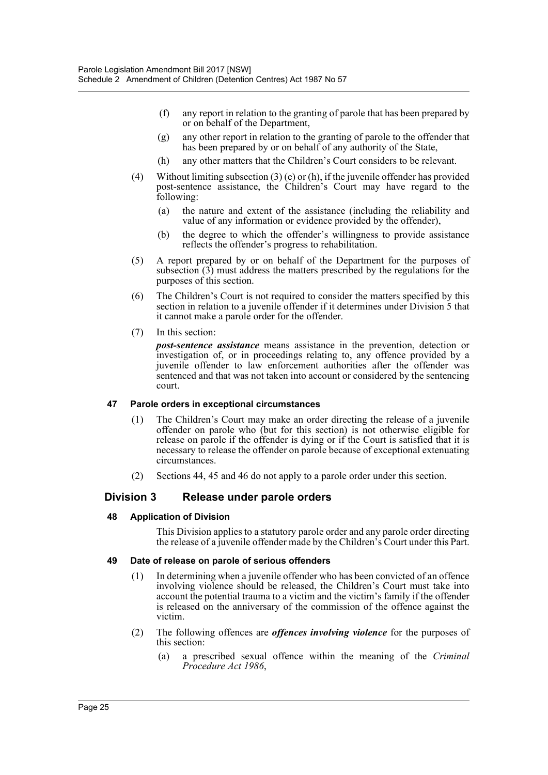- (f) any report in relation to the granting of parole that has been prepared by or on behalf of the Department,
- (g) any other report in relation to the granting of parole to the offender that has been prepared by or on behalf of any authority of the State,
- (h) any other matters that the Children's Court considers to be relevant.
- (4) Without limiting subsection (3) (e) or (h), if the juvenile offender has provided post-sentence assistance, the Children's Court may have regard to the following:
	- (a) the nature and extent of the assistance (including the reliability and value of any information or evidence provided by the offender),
	- (b) the degree to which the offender's willingness to provide assistance reflects the offender's progress to rehabilitation.
- (5) A report prepared by or on behalf of the Department for the purposes of subsection (3) must address the matters prescribed by the regulations for the purposes of this section.
- (6) The Children's Court is not required to consider the matters specified by this section in relation to a juvenile offender if it determines under Division 5 that it cannot make a parole order for the offender.
- (7) In this section:

*post-sentence assistance* means assistance in the prevention, detection or investigation of, or in proceedings relating to, any offence provided by a juvenile offender to law enforcement authorities after the offender was sentenced and that was not taken into account or considered by the sentencing court.

#### **47 Parole orders in exceptional circumstances**

- (1) The Children's Court may make an order directing the release of a juvenile offender on parole who (but for this section) is not otherwise eligible for release on parole if the offender is dying or if the Court is satisfied that it is necessary to release the offender on parole because of exceptional extenuating circumstances.
- (2) Sections 44, 45 and 46 do not apply to a parole order under this section.

## **Division 3 Release under parole orders**

#### **48 Application of Division**

This Division applies to a statutory parole order and any parole order directing the release of a juvenile offender made by the Children's Court under this Part.

#### **49 Date of release on parole of serious offenders**

- (1) In determining when a juvenile offender who has been convicted of an offence involving violence should be released, the Children's Court must take into account the potential trauma to a victim and the victim's family if the offender is released on the anniversary of the commission of the offence against the victim.
- (2) The following offences are *offences involving violence* for the purposes of this section:
	- (a) a prescribed sexual offence within the meaning of the *Criminal Procedure Act 1986*,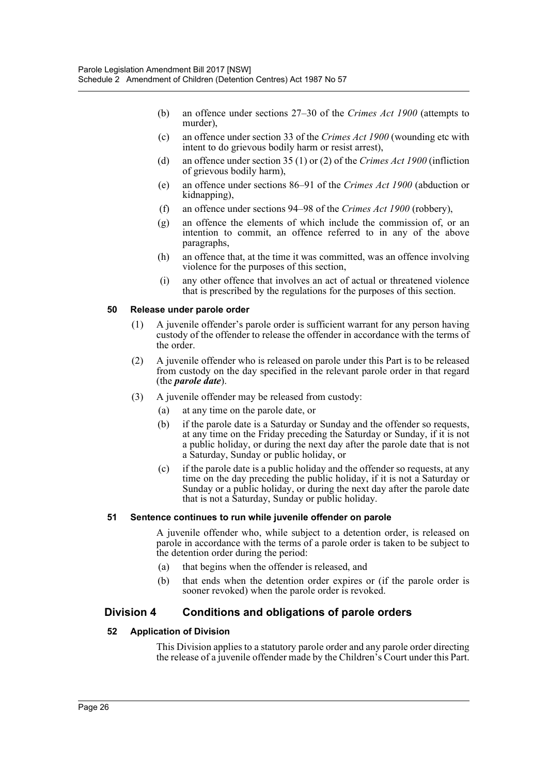- (b) an offence under sections 27–30 of the *Crimes Act 1900* (attempts to murder),
- (c) an offence under section 33 of the *Crimes Act 1900* (wounding etc with intent to do grievous bodily harm or resist arrest),
- (d) an offence under section 35 (1) or (2) of the *Crimes Act 1900* (infliction of grievous bodily harm),
- (e) an offence under sections 86–91 of the *Crimes Act 1900* (abduction or kidnapping),
- (f) an offence under sections 94–98 of the *Crimes Act 1900* (robbery),
- (g) an offence the elements of which include the commission of, or an intention to commit, an offence referred to in any of the above paragraphs,
- (h) an offence that, at the time it was committed, was an offence involving violence for the purposes of this section,
- (i) any other offence that involves an act of actual or threatened violence that is prescribed by the regulations for the purposes of this section.

#### **50 Release under parole order**

- (1) A juvenile offender's parole order is sufficient warrant for any person having custody of the offender to release the offender in accordance with the terms of the order.
- (2) A juvenile offender who is released on parole under this Part is to be released from custody on the day specified in the relevant parole order in that regard (the *parole date*).
- (3) A juvenile offender may be released from custody:
	- (a) at any time on the parole date, or
	- (b) if the parole date is a Saturday or Sunday and the offender so requests, at any time on the Friday preceding the Saturday or Sunday, if it is not a public holiday, or during the next day after the parole date that is not a Saturday, Sunday or public holiday, or
	- (c) if the parole date is a public holiday and the offender so requests, at any time on the day preceding the public holiday, if it is not a Saturday or Sunday or a public holiday, or during the next day after the parole date that is not a Saturday, Sunday or public holiday.

#### **51 Sentence continues to run while juvenile offender on parole**

A juvenile offender who, while subject to a detention order, is released on parole in accordance with the terms of a parole order is taken to be subject to the detention order during the period:

- (a) that begins when the offender is released, and
- (b) that ends when the detention order expires or (if the parole order is sooner revoked) when the parole order is revoked.

## **Division 4 Conditions and obligations of parole orders**

#### **52 Application of Division**

This Division applies to a statutory parole order and any parole order directing the release of a juvenile offender made by the Children's Court under this Part.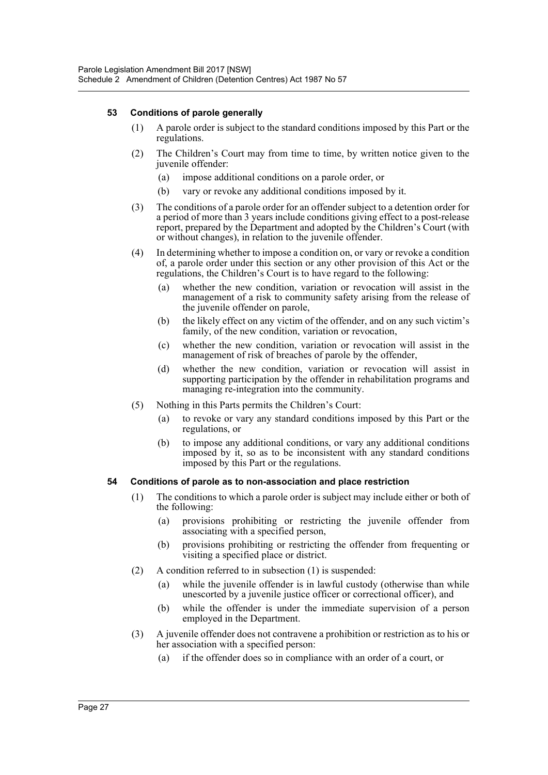#### **53 Conditions of parole generally**

- (1) A parole order is subject to the standard conditions imposed by this Part or the regulations.
- (2) The Children's Court may from time to time, by written notice given to the juvenile offender:
	- (a) impose additional conditions on a parole order, or
	- (b) vary or revoke any additional conditions imposed by it.
- (3) The conditions of a parole order for an offender subject to a detention order for a period of more than 3 years include conditions giving effect to a post-release report, prepared by the Department and adopted by the Children's Court (with or without changes), in relation to the juvenile offender.
- (4) In determining whether to impose a condition on, or vary or revoke a condition of, a parole order under this section or any other provision of this Act or the regulations, the Children's Court is to have regard to the following:
	- (a) whether the new condition, variation or revocation will assist in the management of a risk to community safety arising from the release of the juvenile offender on parole,
	- (b) the likely effect on any victim of the offender, and on any such victim's family, of the new condition, variation or revocation,
	- (c) whether the new condition, variation or revocation will assist in the management of risk of breaches of parole by the offender,
	- (d) whether the new condition, variation or revocation will assist in supporting participation by the offender in rehabilitation programs and managing re-integration into the community.
- (5) Nothing in this Parts permits the Children's Court:
	- (a) to revoke or vary any standard conditions imposed by this Part or the regulations, or
	- (b) to impose any additional conditions, or vary any additional conditions imposed by it, so as to be inconsistent with any standard conditions imposed by this Part or the regulations.

#### **54 Conditions of parole as to non-association and place restriction**

- (1) The conditions to which a parole order is subject may include either or both of the following:
	- (a) provisions prohibiting or restricting the juvenile offender from associating with a specified person,
	- (b) provisions prohibiting or restricting the offender from frequenting or visiting a specified place or district.
- (2) A condition referred to in subsection (1) is suspended:
	- (a) while the juvenile offender is in lawful custody (otherwise than while unescorted by a juvenile justice officer or correctional officer), and
	- (b) while the offender is under the immediate supervision of a person employed in the Department.
- (3) A juvenile offender does not contravene a prohibition or restriction as to his or her association with a specified person:
	- (a) if the offender does so in compliance with an order of a court, or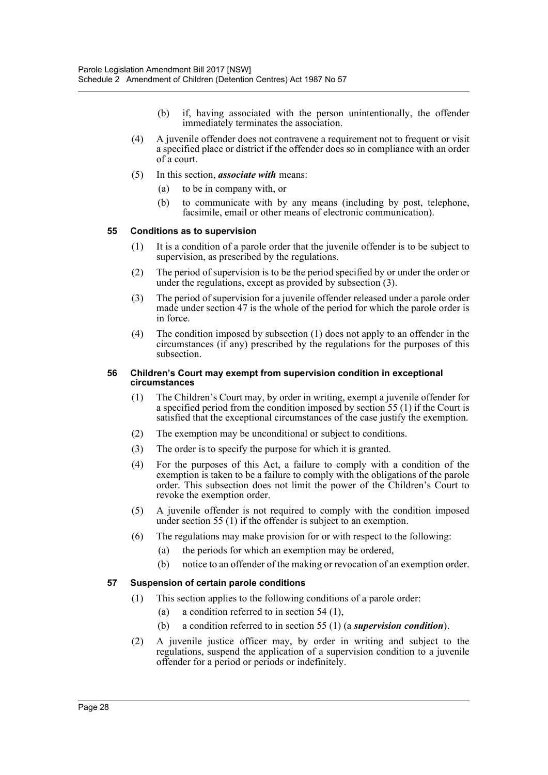- (b) if, having associated with the person unintentionally, the offender immediately terminates the association.
- (4) A juvenile offender does not contravene a requirement not to frequent or visit a specified place or district if the offender does so in compliance with an order of a court.
- (5) In this section, *associate with* means:
	- (a) to be in company with, or
	- (b) to communicate with by any means (including by post, telephone, facsimile, email or other means of electronic communication).

#### **55 Conditions as to supervision**

- (1) It is a condition of a parole order that the juvenile offender is to be subject to supervision, as prescribed by the regulations.
- (2) The period of supervision is to be the period specified by or under the order or under the regulations, except as provided by subsection (3).
- (3) The period of supervision for a juvenile offender released under a parole order made under section 47 is the whole of the period for which the parole order is in force.
- (4) The condition imposed by subsection (1) does not apply to an offender in the circumstances (if any) prescribed by the regulations for the purposes of this subsection.

#### **56 Children's Court may exempt from supervision condition in exceptional circumstances**

- (1) The Children's Court may, by order in writing, exempt a juvenile offender for a specified period from the condition imposed by section 55 (1) if the Court is satisfied that the exceptional circumstances of the case justify the exemption.
- (2) The exemption may be unconditional or subject to conditions.
- (3) The order is to specify the purpose for which it is granted.
- (4) For the purposes of this Act, a failure to comply with a condition of the exemption is taken to be a failure to comply with the obligations of the parole order. This subsection does not limit the power of the Children's Court to revoke the exemption order.
- (5) A juvenile offender is not required to comply with the condition imposed under section 55 (1) if the offender is subject to an exemption.
- (6) The regulations may make provision for or with respect to the following:
	- (a) the periods for which an exemption may be ordered,
	- (b) notice to an offender of the making or revocation of an exemption order.

#### **57 Suspension of certain parole conditions**

- (1) This section applies to the following conditions of a parole order:
	- (a) a condition referred to in section 54 (1),
	- (b) a condition referred to in section 55 (1) (a *supervision condition*).
- (2) A juvenile justice officer may, by order in writing and subject to the regulations, suspend the application of a supervision condition to a juvenile offender for a period or periods or indefinitely.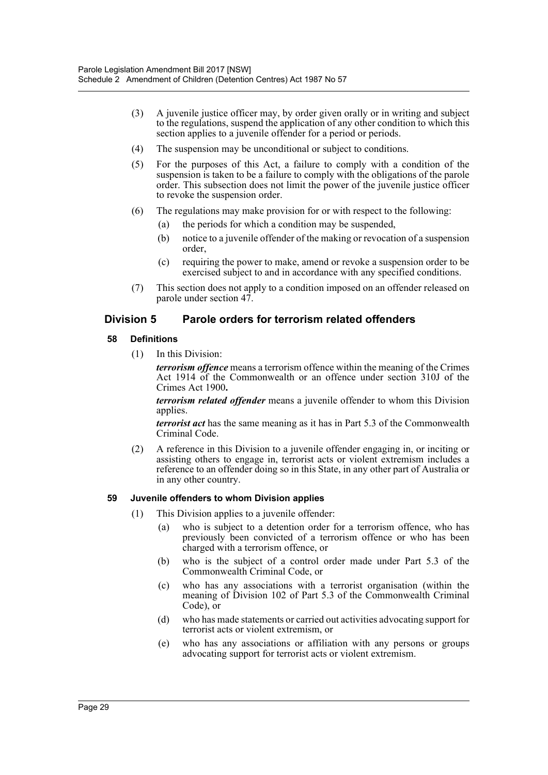- (3) A juvenile justice officer may, by order given orally or in writing and subject to the regulations, suspend the application of any other condition to which this section applies to a juvenile offender for a period or periods.
- (4) The suspension may be unconditional or subject to conditions.
- (5) For the purposes of this Act, a failure to comply with a condition of the suspension is taken to be a failure to comply with the obligations of the parole order. This subsection does not limit the power of the juvenile justice officer to revoke the suspension order.
- (6) The regulations may make provision for or with respect to the following:
	- (a) the periods for which a condition may be suspended,
	- (b) notice to a juvenile offender of the making or revocation of a suspension order,
	- (c) requiring the power to make, amend or revoke a suspension order to be exercised subject to and in accordance with any specified conditions.
- (7) This section does not apply to a condition imposed on an offender released on parole under section 47.

# **Division 5 Parole orders for terrorism related offenders**

#### **58 Definitions**

(1) In this Division:

*terrorism offence* means a terrorism offence within the meaning of the Crimes Act 1914 of the Commonwealth or an offence under section 310J of the Crimes Act 1900**.**

*terrorism related offender* means a juvenile offender to whom this Division applies.

*terrorist act* has the same meaning as it has in Part 5.3 of the Commonwealth Criminal Code.

(2) A reference in this Division to a juvenile offender engaging in, or inciting or assisting others to engage in, terrorist acts or violent extremism includes a reference to an offender doing so in this State, in any other part of Australia or in any other country.

## **59 Juvenile offenders to whom Division applies**

- (1) This Division applies to a juvenile offender:
	- (a) who is subject to a detention order for a terrorism offence, who has previously been convicted of a terrorism offence or who has been charged with a terrorism offence, or
	- (b) who is the subject of a control order made under Part 5.3 of the Commonwealth Criminal Code, or
	- (c) who has any associations with a terrorist organisation (within the meaning of Division 102 of Part 5.3 of the Commonwealth Criminal Code), or
	- (d) who has made statements or carried out activities advocating support for terrorist acts or violent extremism, or
	- (e) who has any associations or affiliation with any persons or groups advocating support for terrorist acts or violent extremism.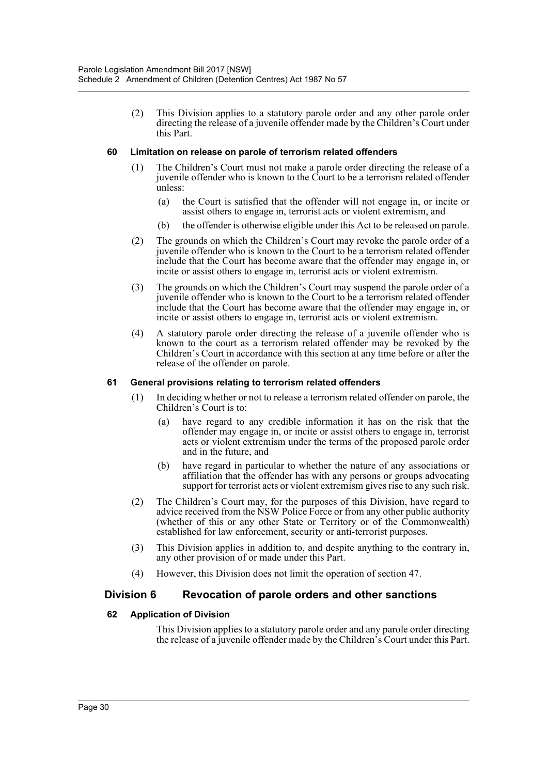(2) This Division applies to a statutory parole order and any other parole order directing the release of a juvenile offender made by the Children's Court under this Part.

#### **60 Limitation on release on parole of terrorism related offenders**

- (1) The Children's Court must not make a parole order directing the release of a juvenile offender who is known to the Court to be a terrorism related offender unless:
	- (a) the Court is satisfied that the offender will not engage in, or incite or assist others to engage in, terrorist acts or violent extremism, and
	- (b) the offender is otherwise eligible under this Act to be released on parole.
- (2) The grounds on which the Children's Court may revoke the parole order of a juvenile offender who is known to the Court to be a terrorism related offender include that the Court has become aware that the offender may engage in, or incite or assist others to engage in, terrorist acts or violent extremism.
- (3) The grounds on which the Children's Court may suspend the parole order of a juvenile offender who is known to the Court to be a terrorism related offender include that the Court has become aware that the offender may engage in, or incite or assist others to engage in, terrorist acts or violent extremism.
- (4) A statutory parole order directing the release of a juvenile offender who is known to the court as a terrorism related offender may be revoked by the Children's Court in accordance with this section at any time before or after the release of the offender on parole.

#### **61 General provisions relating to terrorism related offenders**

- (1) In deciding whether or not to release a terrorism related offender on parole, the Children's Court is to:
	- (a) have regard to any credible information it has on the risk that the offender may engage in, or incite or assist others to engage in, terrorist acts or violent extremism under the terms of the proposed parole order and in the future, and
	- (b) have regard in particular to whether the nature of any associations or affiliation that the offender has with any persons or groups advocating support for terrorist acts or violent extremism gives rise to any such risk.
- (2) The Children's Court may, for the purposes of this Division, have regard to advice received from the NSW Police Force or from any other public authority (whether of this or any other State or Territory or of the Commonwealth) established for law enforcement, security or anti-terrorist purposes.
- (3) This Division applies in addition to, and despite anything to the contrary in, any other provision of or made under this Part.
- (4) However, this Division does not limit the operation of section 47.

## **Division 6 Revocation of parole orders and other sanctions**

#### **62 Application of Division**

This Division applies to a statutory parole order and any parole order directing the release of a juvenile offender made by the Children's Court under this Part.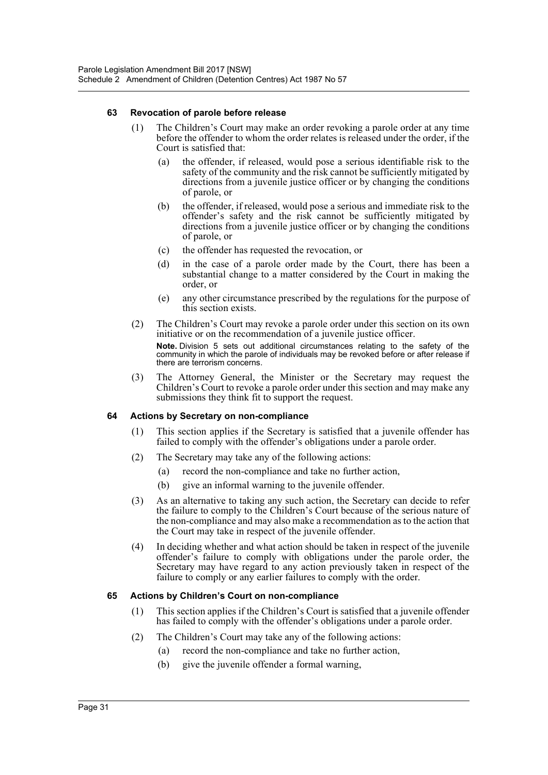#### **63 Revocation of parole before release**

- (1) The Children's Court may make an order revoking a parole order at any time before the offender to whom the order relates is released under the order, if the Court is satisfied that:
	- (a) the offender, if released, would pose a serious identifiable risk to the safety of the community and the risk cannot be sufficiently mitigated by directions from a juvenile justice officer or by changing the conditions of parole, or
	- (b) the offender, if released, would pose a serious and immediate risk to the offender's safety and the risk cannot be sufficiently mitigated by directions from a juvenile justice officer or by changing the conditions of parole, or
	- (c) the offender has requested the revocation, or
	- (d) in the case of a parole order made by the Court, there has been a substantial change to a matter considered by the Court in making the order, or
	- (e) any other circumstance prescribed by the regulations for the purpose of this section exists.
- (2) The Children's Court may revoke a parole order under this section on its own initiative or on the recommendation of a juvenile justice officer. **Note.** Division 5 sets out additional circumstances relating to the safety of the community in which the parole of individuals may be revoked before or after release if there are terrorism concerns.
- (3) The Attorney General, the Minister or the Secretary may request the Children's Court to revoke a parole order under this section and may make any submissions they think fit to support the request.

#### **64 Actions by Secretary on non-compliance**

- (1) This section applies if the Secretary is satisfied that a juvenile offender has failed to comply with the offender's obligations under a parole order.
- (2) The Secretary may take any of the following actions:
	- (a) record the non-compliance and take no further action,
	- (b) give an informal warning to the juvenile offender.
- (3) As an alternative to taking any such action, the Secretary can decide to refer the failure to comply to the Children's Court because of the serious nature of the non-compliance and may also make a recommendation as to the action that the Court may take in respect of the juvenile offender.
- (4) In deciding whether and what action should be taken in respect of the juvenile offender's failure to comply with obligations under the parole order, the Secretary may have regard to any action previously taken in respect of the failure to comply or any earlier failures to comply with the order.

#### **65 Actions by Children's Court on non-compliance**

- (1) This section applies if the Children's Court is satisfied that a juvenile offender has failed to comply with the offender's obligations under a parole order.
- (2) The Children's Court may take any of the following actions:
	- (a) record the non-compliance and take no further action,
	- (b) give the juvenile offender a formal warning,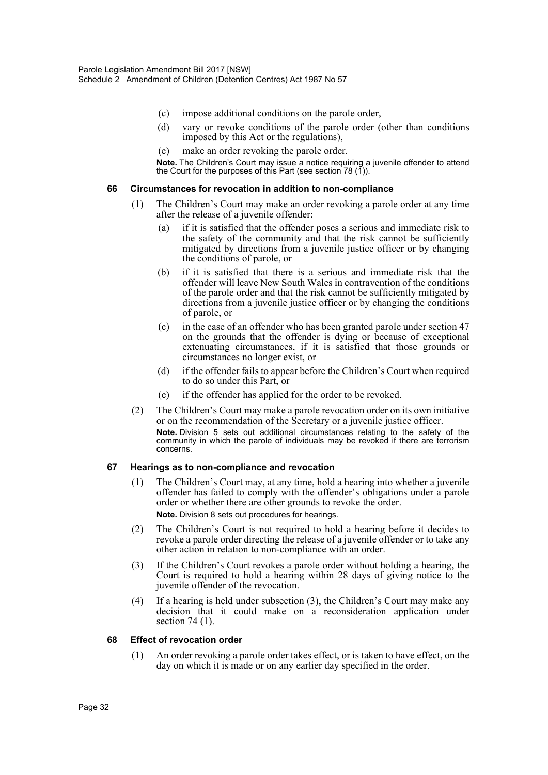- (c) impose additional conditions on the parole order,
- (d) vary or revoke conditions of the parole order (other than conditions imposed by this Act or the regulations),
- (e) make an order revoking the parole order.

**Note.** The Children's Court may issue a notice requiring a juvenile offender to attend the Court for the purposes of this Part (see section 78 (1)).

#### **66 Circumstances for revocation in addition to non-compliance**

- (1) The Children's Court may make an order revoking a parole order at any time after the release of a juvenile offender:
	- (a) if it is satisfied that the offender poses a serious and immediate risk to the safety of the community and that the risk cannot be sufficiently mitigated by directions from a juvenile justice officer or by changing the conditions of parole, or
	- (b) if it is satisfied that there is a serious and immediate risk that the offender will leave New South Wales in contravention of the conditions of the parole order and that the risk cannot be sufficiently mitigated by directions from a juvenile justice officer or by changing the conditions of parole, or
	- (c) in the case of an offender who has been granted parole under section 47 on the grounds that the offender is dying or because of exceptional extenuating circumstances, if it is satisfied that those grounds or circumstances no longer exist, or
	- (d) if the offender fails to appear before the Children's Court when required to do so under this Part, or
	- (e) if the offender has applied for the order to be revoked.
- (2) The Children's Court may make a parole revocation order on its own initiative or on the recommendation of the Secretary or a juvenile justice officer. **Note.** Division 5 sets out additional circumstances relating to the safety of the community in which the parole of individuals may be revoked if there are terrorism concerns.

#### **67 Hearings as to non-compliance and revocation**

(1) The Children's Court may, at any time, hold a hearing into whether a juvenile offender has failed to comply with the offender's obligations under a parole order or whether there are other grounds to revoke the order.

**Note.** Division 8 sets out procedures for hearings.

- (2) The Children's Court is not required to hold a hearing before it decides to revoke a parole order directing the release of a juvenile offender or to take any other action in relation to non-compliance with an order.
- (3) If the Children's Court revokes a parole order without holding a hearing, the Court is required to hold a hearing within 28 days of giving notice to the juvenile offender of the revocation.
- (4) If a hearing is held under subsection (3), the Children's Court may make any decision that it could make on a reconsideration application under section 74 (1).

#### **68 Effect of revocation order**

(1) An order revoking a parole order takes effect, or is taken to have effect, on the day on which it is made or on any earlier day specified in the order.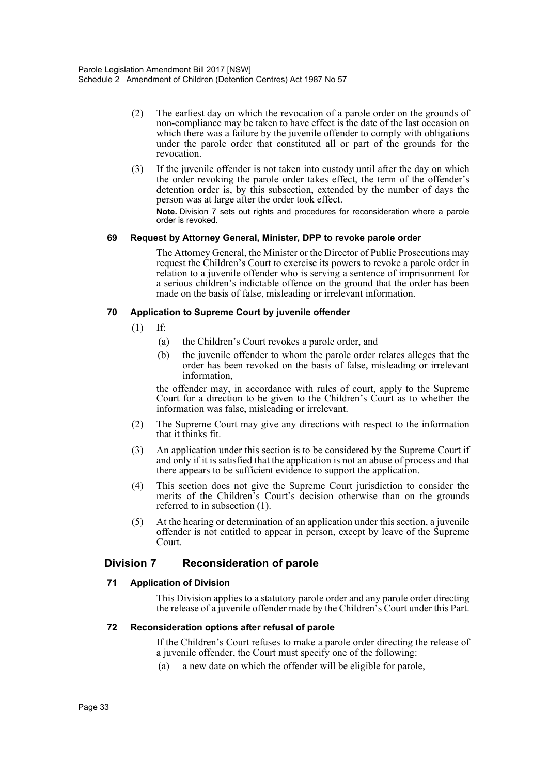- (2) The earliest day on which the revocation of a parole order on the grounds of non-compliance may be taken to have effect is the date of the last occasion on which there was a failure by the juvenile offender to comply with obligations under the parole order that constituted all or part of the grounds for the revocation.
- (3) If the juvenile offender is not taken into custody until after the day on which the order revoking the parole order takes effect, the term of the offender's detention order is, by this subsection, extended by the number of days the person was at large after the order took effect.

**Note.** Division 7 sets out rights and procedures for reconsideration where a parole order is revoked.

#### **69 Request by Attorney General, Minister, DPP to revoke parole order**

The Attorney General, the Minister or the Director of Public Prosecutions may request the Children's Court to exercise its powers to revoke a parole order in relation to a juvenile offender who is serving a sentence of imprisonment for a serious children's indictable offence on the ground that the order has been made on the basis of false, misleading or irrelevant information.

#### **70 Application to Supreme Court by juvenile offender**

- (1) If:
	- (a) the Children's Court revokes a parole order, and
	- (b) the juvenile offender to whom the parole order relates alleges that the order has been revoked on the basis of false, misleading or irrelevant information,

the offender may, in accordance with rules of court, apply to the Supreme Court for a direction to be given to the Children's Court as to whether the information was false, misleading or irrelevant.

- (2) The Supreme Court may give any directions with respect to the information that it thinks fit.
- (3) An application under this section is to be considered by the Supreme Court if and only if it is satisfied that the application is not an abuse of process and that there appears to be sufficient evidence to support the application.
- (4) This section does not give the Supreme Court jurisdiction to consider the merits of the Children's Court's decision otherwise than on the grounds referred to in subsection (1).
- (5) At the hearing or determination of an application under this section, a juvenile offender is not entitled to appear in person, except by leave of the Supreme Court.

# **Division 7 Reconsideration of parole**

## **71 Application of Division**

This Division applies to a statutory parole order and any parole order directing the release of a juvenile offender made by the Children's Court under this Part.

#### **72 Reconsideration options after refusal of parole**

If the Children's Court refuses to make a parole order directing the release of a juvenile offender, the Court must specify one of the following:

(a) a new date on which the offender will be eligible for parole,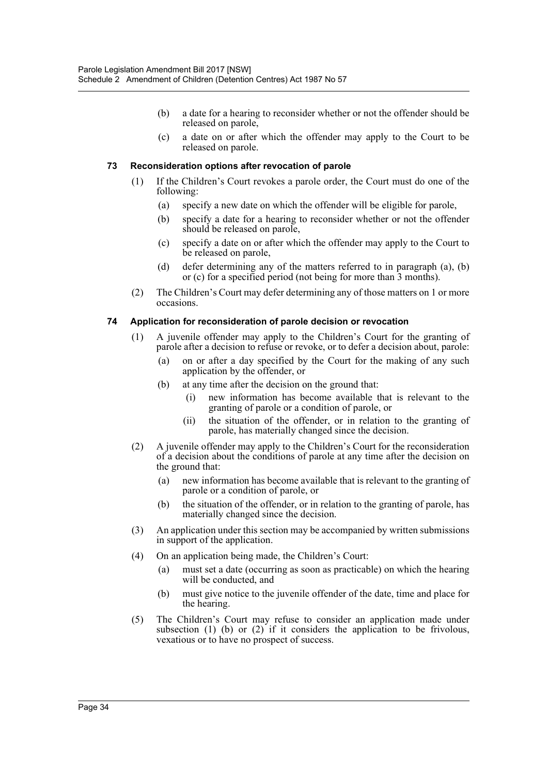- (b) a date for a hearing to reconsider whether or not the offender should be released on parole,
- (c) a date on or after which the offender may apply to the Court to be released on parole.

#### **73 Reconsideration options after revocation of parole**

- (1) If the Children's Court revokes a parole order, the Court must do one of the following:
	- (a) specify a new date on which the offender will be eligible for parole,
	- (b) specify a date for a hearing to reconsider whether or not the offender should be released on parole,
	- (c) specify a date on or after which the offender may apply to the Court to be released on parole,
	- (d) defer determining any of the matters referred to in paragraph (a), (b) or (c) for a specified period (not being for more than 3 months).
- (2) The Children's Court may defer determining any of those matters on 1 or more occasions.

#### **74 Application for reconsideration of parole decision or revocation**

- (1) A juvenile offender may apply to the Children's Court for the granting of parole after a decision to refuse or revoke, or to defer a decision about, parole:
	- (a) on or after a day specified by the Court for the making of any such application by the offender, or
	- (b) at any time after the decision on the ground that:
		- (i) new information has become available that is relevant to the granting of parole or a condition of parole, or
		- (ii) the situation of the offender, or in relation to the granting of parole, has materially changed since the decision.
- (2) A juvenile offender may apply to the Children's Court for the reconsideration of a decision about the conditions of parole at any time after the decision on the ground that:
	- (a) new information has become available that is relevant to the granting of parole or a condition of parole, or
	- (b) the situation of the offender, or in relation to the granting of parole, has materially changed since the decision.
- (3) An application under this section may be accompanied by written submissions in support of the application.
- (4) On an application being made, the Children's Court:
	- (a) must set a date (occurring as soon as practicable) on which the hearing will be conducted, and
	- (b) must give notice to the juvenile offender of the date, time and place for the hearing.
- (5) The Children's Court may refuse to consider an application made under subsection (1) (b) or (2) if it considers the application to be frivolous, vexatious or to have no prospect of success.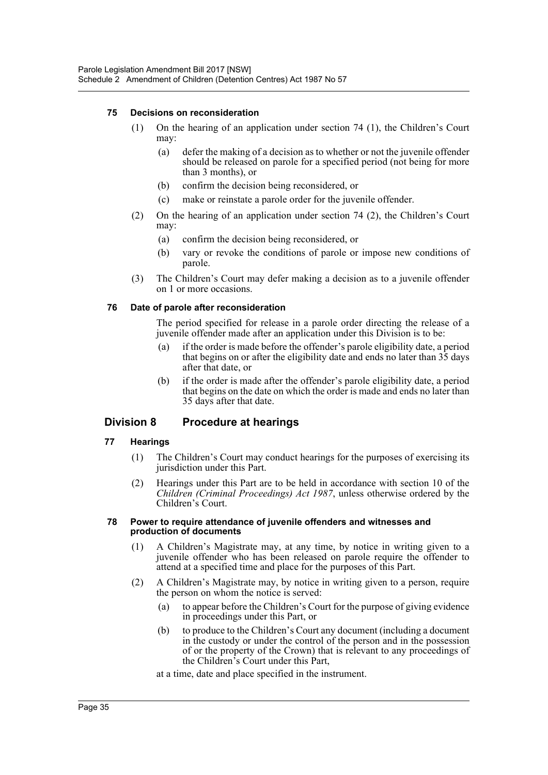#### **75 Decisions on reconsideration**

- (1) On the hearing of an application under section 74 (1), the Children's Court may:
	- (a) defer the making of a decision as to whether or not the juvenile offender should be released on parole for a specified period (not being for more than 3 months), or
	- (b) confirm the decision being reconsidered, or
	- (c) make or reinstate a parole order for the juvenile offender.
- (2) On the hearing of an application under section 74 (2), the Children's Court may:
	- (a) confirm the decision being reconsidered, or
	- (b) vary or revoke the conditions of parole or impose new conditions of parole.
- (3) The Children's Court may defer making a decision as to a juvenile offender on 1 or more occasions.

#### **76 Date of parole after reconsideration**

The period specified for release in a parole order directing the release of a juvenile offender made after an application under this Division is to be:

- (a) if the order is made before the offender's parole eligibility date, a period that begins on or after the eligibility date and ends no later than 35 days after that date, or
- (b) if the order is made after the offender's parole eligibility date, a period that begins on the date on which the order is made and ends no later than 35 days after that date.

# **Division 8 Procedure at hearings**

#### **77 Hearings**

- (1) The Children's Court may conduct hearings for the purposes of exercising its jurisdiction under this Part.
- (2) Hearings under this Part are to be held in accordance with section 10 of the *Children (Criminal Proceedings) Act 1987*, unless otherwise ordered by the Children's Court.

#### **78 Power to require attendance of juvenile offenders and witnesses and production of documents**

- (1) A Children's Magistrate may, at any time, by notice in writing given to a juvenile offender who has been released on parole require the offender to attend at a specified time and place for the purposes of this Part.
- (2) A Children's Magistrate may, by notice in writing given to a person, require the person on whom the notice is served:
	- (a) to appear before the Children's Court for the purpose of giving evidence in proceedings under this Part, or
	- (b) to produce to the Children's Court any document (including a document in the custody or under the control of the person and in the possession of or the property of the Crown) that is relevant to any proceedings of the Children's Court under this Part,

at a time, date and place specified in the instrument.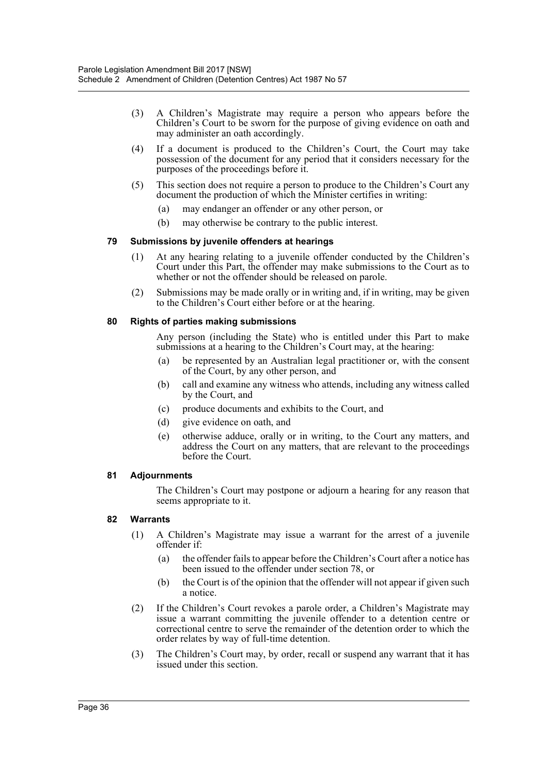- (3) A Children's Magistrate may require a person who appears before the Children's Court to be sworn for the purpose of giving evidence on oath and may administer an oath accordingly.
- (4) If a document is produced to the Children's Court, the Court may take possession of the document for any period that it considers necessary for the purposes of the proceedings before it.
- (5) This section does not require a person to produce to the Children's Court any document the production of which the Minister certifies in writing:
	- (a) may endanger an offender or any other person, or
	- (b) may otherwise be contrary to the public interest.

#### **79 Submissions by juvenile offenders at hearings**

- (1) At any hearing relating to a juvenile offender conducted by the Children's Court under this Part, the offender may make submissions to the Court as to whether or not the offender should be released on parole.
- (2) Submissions may be made orally or in writing and, if in writing, may be given to the Children's Court either before or at the hearing.

#### **80 Rights of parties making submissions**

Any person (including the State) who is entitled under this Part to make submissions at a hearing to the Children's Court may, at the hearing:

- (a) be represented by an Australian legal practitioner or, with the consent of the Court, by any other person, and
- (b) call and examine any witness who attends, including any witness called by the Court, and
- (c) produce documents and exhibits to the Court, and
- (d) give evidence on oath, and
- (e) otherwise adduce, orally or in writing, to the Court any matters, and address the Court on any matters, that are relevant to the proceedings before the Court.

#### **81 Adjournments**

The Children's Court may postpone or adjourn a hearing for any reason that seems appropriate to it.

#### **82 Warrants**

- (1) A Children's Magistrate may issue a warrant for the arrest of a juvenile offender if:
	- (a) the offender fails to appear before the Children's Court after a notice has been issued to the offender under section 78, or
	- (b) the Court is of the opinion that the offender will not appear if given such a notice.
- (2) If the Children's Court revokes a parole order, a Children's Magistrate may issue a warrant committing the juvenile offender to a detention centre or correctional centre to serve the remainder of the detention order to which the order relates by way of full-time detention.
- (3) The Children's Court may, by order, recall or suspend any warrant that it has issued under this section.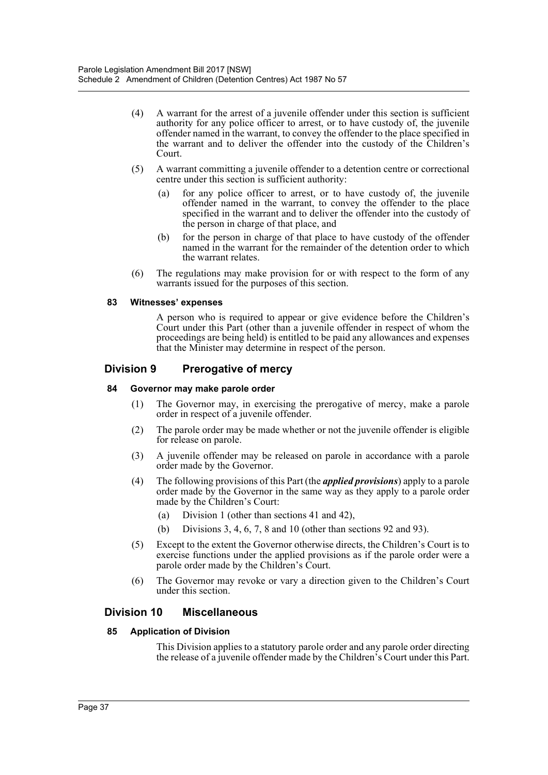- (4) A warrant for the arrest of a juvenile offender under this section is sufficient authority for any police officer to arrest, or to have custody of, the juvenile offender named in the warrant, to convey the offender to the place specified in the warrant and to deliver the offender into the custody of the Children's Court.
- (5) A warrant committing a juvenile offender to a detention centre or correctional centre under this section is sufficient authority:
	- for any police officer to arrest, or to have custody of, the juvenile offender named in the warrant, to convey the offender to the place specified in the warrant and to deliver the offender into the custody of the person in charge of that place, and
	- (b) for the person in charge of that place to have custody of the offender named in the warrant for the remainder of the detention order to which the warrant relates.
- (6) The regulations may make provision for or with respect to the form of any warrants issued for the purposes of this section.

#### **83 Witnesses' expenses**

A person who is required to appear or give evidence before the Children's Court under this Part (other than a juvenile offender in respect of whom the proceedings are being held) is entitled to be paid any allowances and expenses that the Minister may determine in respect of the person.

## **Division 9 Prerogative of mercy**

#### **84 Governor may make parole order**

- (1) The Governor may, in exercising the prerogative of mercy, make a parole order in respect of a juvenile offender.
- (2) The parole order may be made whether or not the juvenile offender is eligible for release on parole.
- (3) A juvenile offender may be released on parole in accordance with a parole order made by the Governor.
- (4) The following provisions of this Part (the *applied provisions*) apply to a parole order made by the Governor in the same way as they apply to a parole order made by the Children's Court:
	- (a) Division 1 (other than sections 41 and 42),
	- (b) Divisions 3, 4, 6, 7, 8 and 10 (other than sections 92 and 93).
- (5) Except to the extent the Governor otherwise directs, the Children's Court is to exercise functions under the applied provisions as if the parole order were a parole order made by the Children's Court.
- (6) The Governor may revoke or vary a direction given to the Children's Court under this section.

## **Division 10 Miscellaneous**

#### **85 Application of Division**

This Division applies to a statutory parole order and any parole order directing the release of a juvenile offender made by the Children's Court under this Part.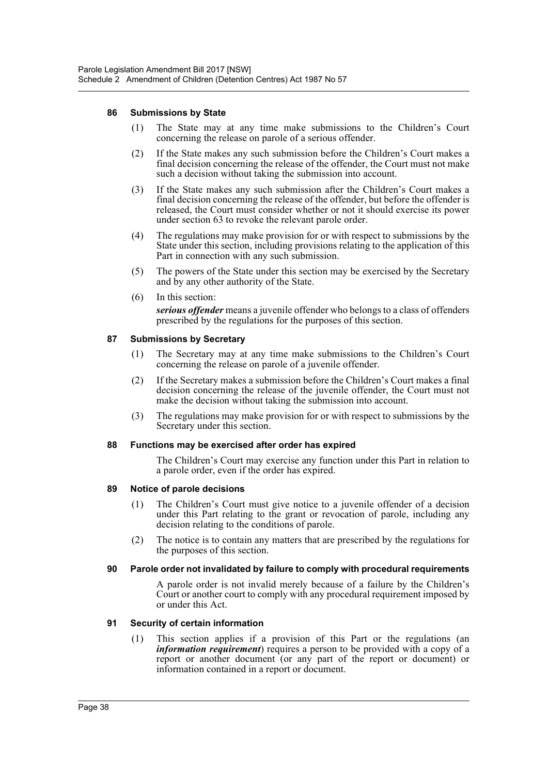#### **86 Submissions by State**

- (1) The State may at any time make submissions to the Children's Court concerning the release on parole of a serious offender.
- (2) If the State makes any such submission before the Children's Court makes a final decision concerning the release of the offender, the Court must not make such a decision without taking the submission into account.
- (3) If the State makes any such submission after the Children's Court makes a final decision concerning the release of the offender, but before the offender is released, the Court must consider whether or not it should exercise its power under section 63 to revoke the relevant parole order.
- (4) The regulations may make provision for or with respect to submissions by the State under this section, including provisions relating to the application of this Part in connection with any such submission.
- (5) The powers of the State under this section may be exercised by the Secretary and by any other authority of the State.
- (6) In this section: *serious offender* means a juvenile offender who belongs to a class of offenders prescribed by the regulations for the purposes of this section.

#### **87 Submissions by Secretary**

- (1) The Secretary may at any time make submissions to the Children's Court concerning the release on parole of a juvenile offender.
- (2) If the Secretary makes a submission before the Children's Court makes a final decision concerning the release of the juvenile offender, the Court must not make the decision without taking the submission into account.
- (3) The regulations may make provision for or with respect to submissions by the Secretary under this section.

#### **88 Functions may be exercised after order has expired**

The Children's Court may exercise any function under this Part in relation to a parole order, even if the order has expired.

#### **89 Notice of parole decisions**

- (1) The Children's Court must give notice to a juvenile offender of a decision under this Part relating to the grant or revocation of parole, including any decision relating to the conditions of parole.
- (2) The notice is to contain any matters that are prescribed by the regulations for the purposes of this section.

#### **90 Parole order not invalidated by failure to comply with procedural requirements**

A parole order is not invalid merely because of a failure by the Children's Court or another court to comply with any procedural requirement imposed by or under this Act.

#### **91 Security of certain information**

(1) This section applies if a provision of this Part or the regulations (an *information requirement*) requires a person to be provided with a copy of a report or another document (or any part of the report or document) or information contained in a report or document.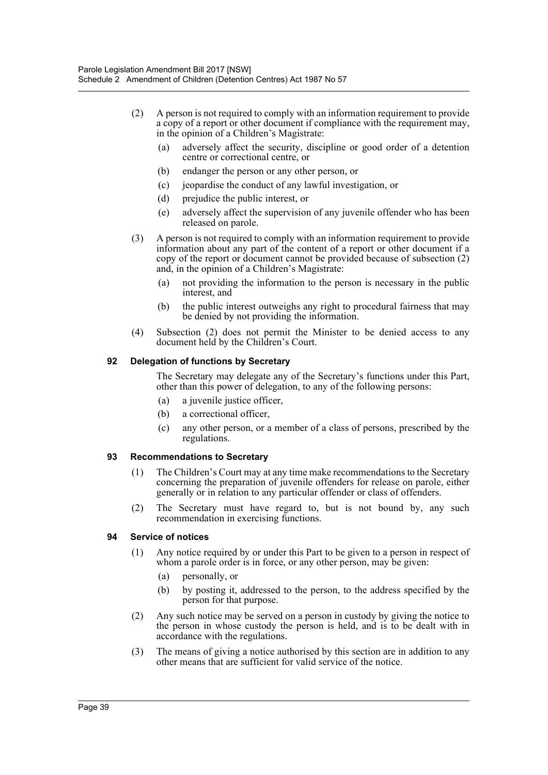- (2) A person is not required to comply with an information requirement to provide a copy of a report or other document if compliance with the requirement may, in the opinion of a Children's Magistrate:
	- (a) adversely affect the security, discipline or good order of a detention centre or correctional centre, or
	- (b) endanger the person or any other person, or
	- (c) jeopardise the conduct of any lawful investigation, or
	- (d) prejudice the public interest, or
	- (e) adversely affect the supervision of any juvenile offender who has been released on parole.
- (3) A person is not required to comply with an information requirement to provide information about any part of the content of a report or other document if a copy of the report or document cannot be provided because of subsection (2) and, in the opinion of a Children's Magistrate:
	- (a) not providing the information to the person is necessary in the public interest, and
	- (b) the public interest outweighs any right to procedural fairness that may be denied by not providing the information.
- (4) Subsection (2) does not permit the Minister to be denied access to any document held by the Children's Court.

#### **92 Delegation of functions by Secretary**

The Secretary may delegate any of the Secretary's functions under this Part, other than this power of delegation, to any of the following persons:

- (a) a juvenile justice officer,
- (b) a correctional officer,
- (c) any other person, or a member of a class of persons, prescribed by the regulations.

#### **93 Recommendations to Secretary**

- (1) The Children's Court may at any time make recommendations to the Secretary concerning the preparation of juvenile offenders for release on parole, either generally or in relation to any particular offender or class of offenders.
- (2) The Secretary must have regard to, but is not bound by, any such recommendation in exercising functions.

#### **94 Service of notices**

- (1) Any notice required by or under this Part to be given to a person in respect of whom a parole order is in force, or any other person, may be given:
	- (a) personally, or
	- (b) by posting it, addressed to the person, to the address specified by the person for that purpose.
- (2) Any such notice may be served on a person in custody by giving the notice to the person in whose custody the person is held, and is to be dealt with in accordance with the regulations.
- (3) The means of giving a notice authorised by this section are in addition to any other means that are sufficient for valid service of the notice.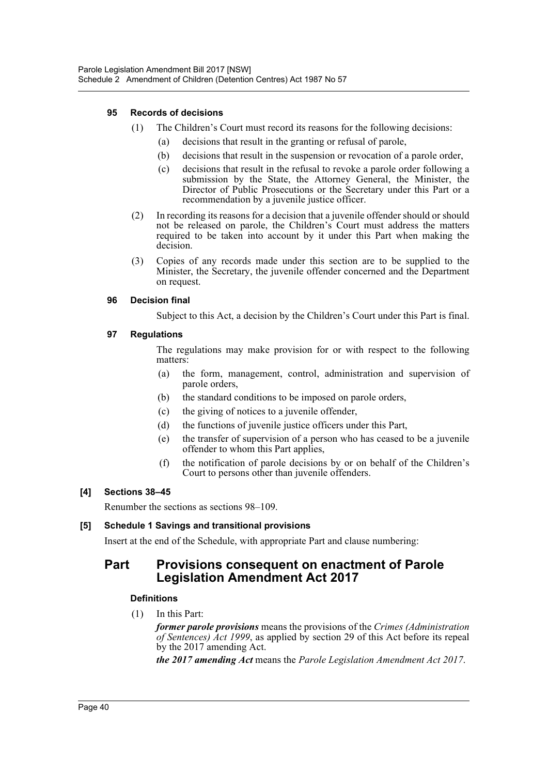## **95 Records of decisions**

- (1) The Children's Court must record its reasons for the following decisions:
	- (a) decisions that result in the granting or refusal of parole,
	- (b) decisions that result in the suspension or revocation of a parole order,
	- (c) decisions that result in the refusal to revoke a parole order following a submission by the State, the Attorney General, the Minister, the Director of Public Prosecutions or the Secretary under this Part or a recommendation by a juvenile justice officer.
- (2) In recording its reasons for a decision that a juvenile offender should or should not be released on parole, the Children's Court must address the matters required to be taken into account by it under this Part when making the decision.
- (3) Copies of any records made under this section are to be supplied to the Minister, the Secretary, the juvenile offender concerned and the Department on request.

#### **96 Decision final**

Subject to this Act, a decision by the Children's Court under this Part is final.

#### **97 Regulations**

The regulations may make provision for or with respect to the following matters:

- (a) the form, management, control, administration and supervision of parole orders,
- (b) the standard conditions to be imposed on parole orders,
- (c) the giving of notices to a juvenile offender,
- (d) the functions of juvenile justice officers under this Part,
- (e) the transfer of supervision of a person who has ceased to be a juvenile offender to whom this Part applies,
- (f) the notification of parole decisions by or on behalf of the Children's Court to persons other than juvenile offenders.

#### **[4] Sections 38–45**

Renumber the sections as sections 98–109.

## **[5] Schedule 1 Savings and transitional provisions**

Insert at the end of the Schedule, with appropriate Part and clause numbering:

# **Part Provisions consequent on enactment of Parole Legislation Amendment Act 2017**

## **Definitions**

(1) In this Part:

*former parole provisions* means the provisions of the *Crimes (Administration of Sentences) Act 1999*, as applied by section 29 of this Act before its repeal by the 2017 amending Act.

*the 2017 amending Act* means the *Parole Legislation Amendment Act 2017*.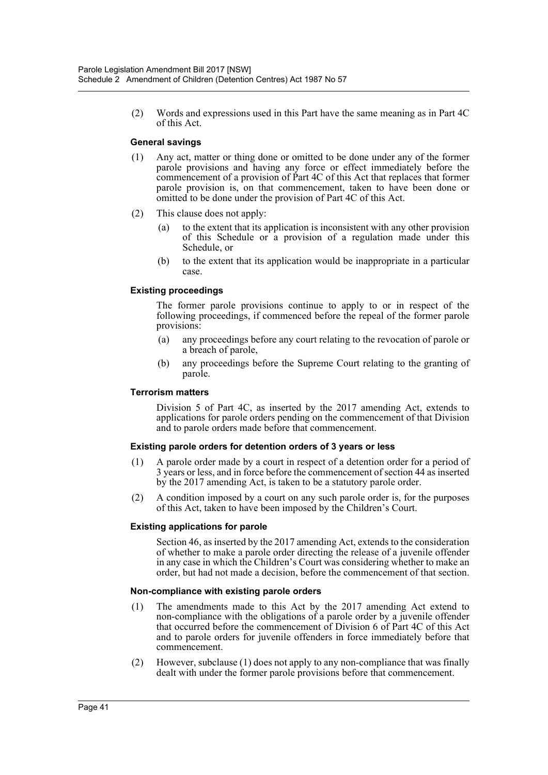(2) Words and expressions used in this Part have the same meaning as in Part 4C of this Act.

#### **General savings**

- (1) Any act, matter or thing done or omitted to be done under any of the former parole provisions and having any force or effect immediately before the commencement of a provision of Part 4C of this Act that replaces that former parole provision is, on that commencement, taken to have been done or omitted to be done under the provision of Part 4C of this Act.
- (2) This clause does not apply:
	- (a) to the extent that its application is inconsistent with any other provision of this Schedule or a provision of a regulation made under this Schedule, or
	- (b) to the extent that its application would be inappropriate in a particular case.

#### **Existing proceedings**

The former parole provisions continue to apply to or in respect of the following proceedings, if commenced before the repeal of the former parole provisions:

- (a) any proceedings before any court relating to the revocation of parole or a breach of parole,
- (b) any proceedings before the Supreme Court relating to the granting of parole.

#### **Terrorism matters**

Division 5 of Part 4C, as inserted by the 2017 amending Act, extends to applications for parole orders pending on the commencement of that Division and to parole orders made before that commencement.

#### **Existing parole orders for detention orders of 3 years or less**

- (1) A parole order made by a court in respect of a detention order for a period of 3 years or less, and in force before the commencement of section 44 as inserted by the 2017 amending Act, is taken to be a statutory parole order.
- (2) A condition imposed by a court on any such parole order is, for the purposes of this Act, taken to have been imposed by the Children's Court.

#### **Existing applications for parole**

Section 46, as inserted by the 2017 amending Act, extends to the consideration of whether to make a parole order directing the release of a juvenile offender in any case in which the Children's Court was considering whether to make an order, but had not made a decision, before the commencement of that section.

#### **Non-compliance with existing parole orders**

- (1) The amendments made to this Act by the 2017 amending Act extend to non-compliance with the obligations of a parole order by a juvenile offender that occurred before the commencement of Division 6 of Part 4C of this Act and to parole orders for juvenile offenders in force immediately before that commencement.
- (2) However, subclause (1) does not apply to any non-compliance that was finally dealt with under the former parole provisions before that commencement.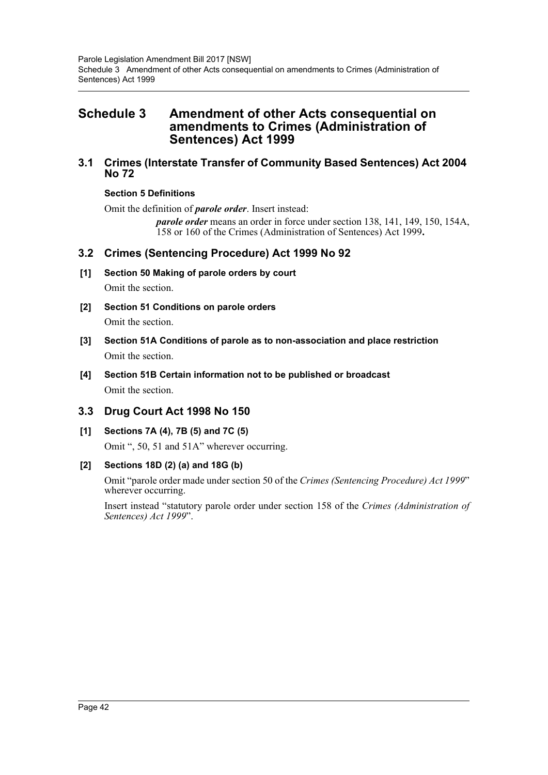# <span id="page-42-0"></span>**Schedule 3 Amendment of other Acts consequential on amendments to Crimes (Administration of Sentences) Act 1999**

# **3.1 Crimes (Interstate Transfer of Community Based Sentences) Act 2004 No 72**

# **Section 5 Definitions**

Omit the definition of *parole order*. Insert instead:

*parole order* means an order in force under section 138, 141, 149, 150, 154A, 158 or 160 of the Crimes (Administration of Sentences) Act 1999**.**

# **3.2 Crimes (Sentencing Procedure) Act 1999 No 92**

- **[1] Section 50 Making of parole orders by court** Omit the section.
- **[2] Section 51 Conditions on parole orders** Omit the section.
- **[3] Section 51A Conditions of parole as to non-association and place restriction** Omit the section.
- **[4] Section 51B Certain information not to be published or broadcast** Omit the section.

# **3.3 Drug Court Act 1998 No 150**

**[1] Sections 7A (4), 7B (5) and 7C (5)**

Omit ", 50, 51 and 51A" wherever occurring.

## **[2] Sections 18D (2) (a) and 18G (b)**

Omit "parole order made under section 50 of the *Crimes (Sentencing Procedure) Act 1999*" wherever occurring.

Insert instead "statutory parole order under section 158 of the *Crimes (Administration of Sentences) Act 1999*".